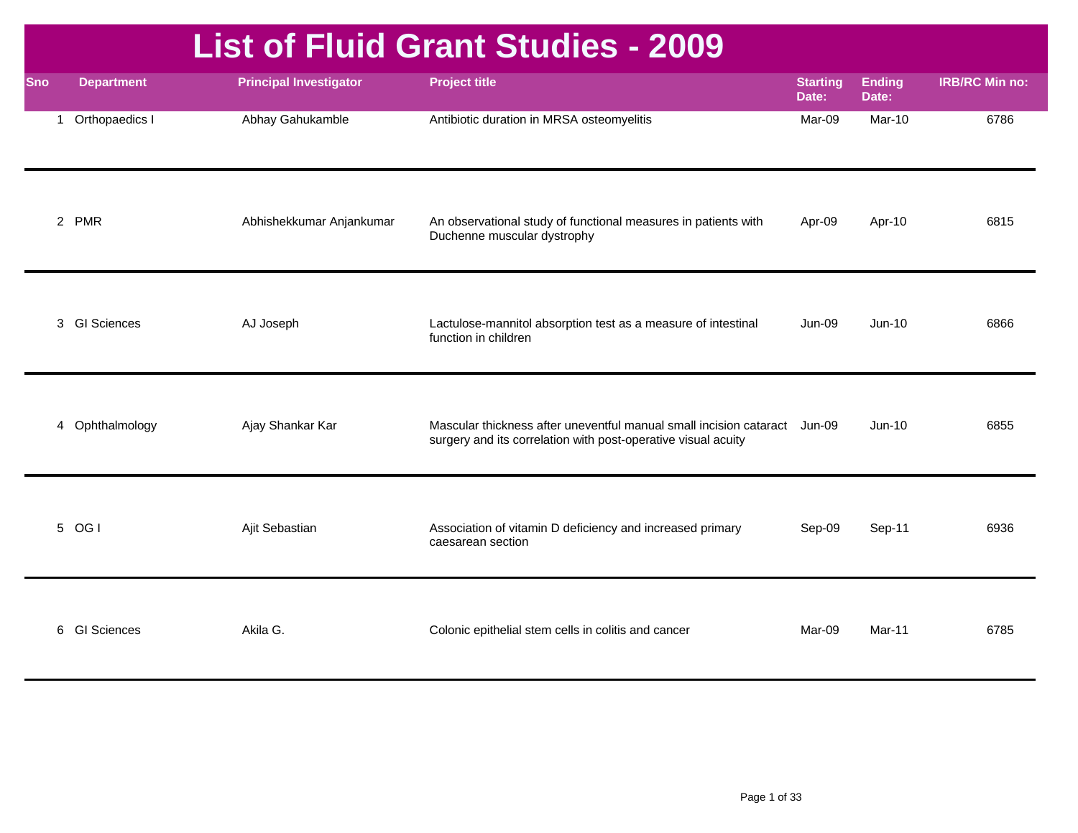|              |                    |                               | <b>List of Fluid Grant Studies - 2009</b>                                                                                                  |                          |                        |                       |
|--------------|--------------------|-------------------------------|--------------------------------------------------------------------------------------------------------------------------------------------|--------------------------|------------------------|-----------------------|
| <b>Sno</b>   | <b>Department</b>  | <b>Principal Investigator</b> | <b>Project title</b>                                                                                                                       | <b>Starting</b><br>Date: | <b>Ending</b><br>Date: | <b>IRB/RC Min no:</b> |
| $\mathbf{1}$ | Orthopaedics I     | Abhay Gahukamble              | Antibiotic duration in MRSA osteomyelitis                                                                                                  | Mar-09                   | Mar-10                 | 6786                  |
|              | 2 PMR              | Abhishekkumar Anjankumar      | An observational study of functional measures in patients with<br>Duchenne muscular dystrophy                                              | Apr-09                   | Apr-10                 | 6815                  |
| 3            | <b>GI Sciences</b> | AJ Joseph                     | Lactulose-mannitol absorption test as a measure of intestinal<br>function in children                                                      | Jun-09                   | $Jun-10$               | 6866                  |
|              | 4 Ophthalmology    | Ajay Shankar Kar              | Mascular thickness after uneventful manual small incision cataract Jun-09<br>surgery and its correlation with post-operative visual acuity |                          | $Jun-10$               | 6855                  |
|              | 5 OG I             | Ajit Sebastian                | Association of vitamin D deficiency and increased primary<br>caesarean section                                                             | Sep-09                   | Sep-11                 | 6936                  |
| 6            | <b>GI Sciences</b> | Akila G.                      | Colonic epithelial stem cells in colitis and cancer                                                                                        | Mar-09                   | Mar-11                 | 6785                  |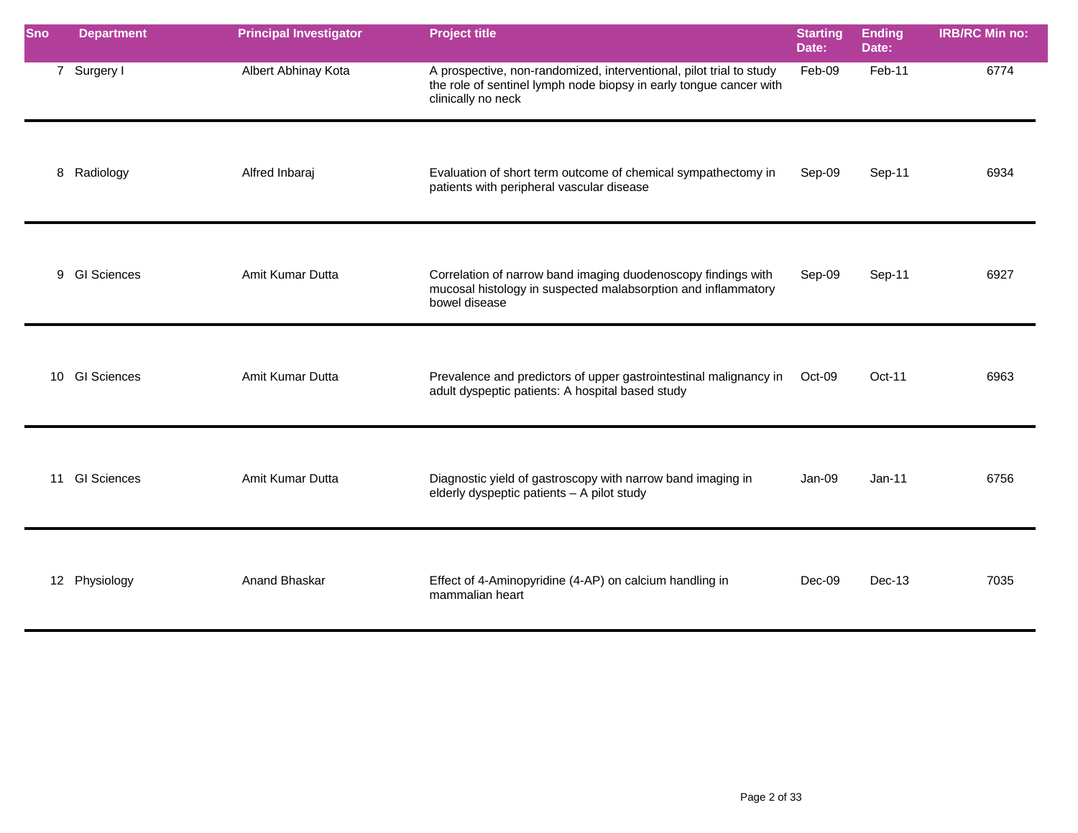| <b>Sno</b> | <b>Department</b> | <b>Principal Investigator</b> | <b>Project title</b>                                                                                                                                            | <b>Starting</b><br>Date: | <b>Ending</b><br>Date: | <b>IRB/RC Min no:</b> |
|------------|-------------------|-------------------------------|-----------------------------------------------------------------------------------------------------------------------------------------------------------------|--------------------------|------------------------|-----------------------|
|            | 7 Surgery I       | Albert Abhinay Kota           | A prospective, non-randomized, interventional, pilot trial to study<br>the role of sentinel lymph node biopsy in early tongue cancer with<br>clinically no neck | Feb-09                   | Feb-11                 | 6774                  |
| 8          | Radiology         | Alfred Inbaraj                | Evaluation of short term outcome of chemical sympathectomy in<br>patients with peripheral vascular disease                                                      | Sep-09                   | Sep-11                 | 6934                  |
|            | 9 GI Sciences     | Amit Kumar Dutta              | Correlation of narrow band imaging duodenoscopy findings with<br>mucosal histology in suspected malabsorption and inflammatory<br>bowel disease                 | Sep-09                   | Sep-11                 | 6927                  |
|            | 10 GI Sciences    | Amit Kumar Dutta              | Prevalence and predictors of upper gastrointestinal malignancy in<br>adult dyspeptic patients: A hospital based study                                           | Oct-09                   | Oct-11                 | 6963                  |
|            | 11 GI Sciences    | Amit Kumar Dutta              | Diagnostic yield of gastroscopy with narrow band imaging in<br>elderly dyspeptic patients - A pilot study                                                       | Jan-09                   | $Jan-11$               | 6756                  |
|            | 12 Physiology     | Anand Bhaskar                 | Effect of 4-Aminopyridine (4-AP) on calcium handling in<br>mammalian heart                                                                                      | Dec-09                   | Dec-13                 | 7035                  |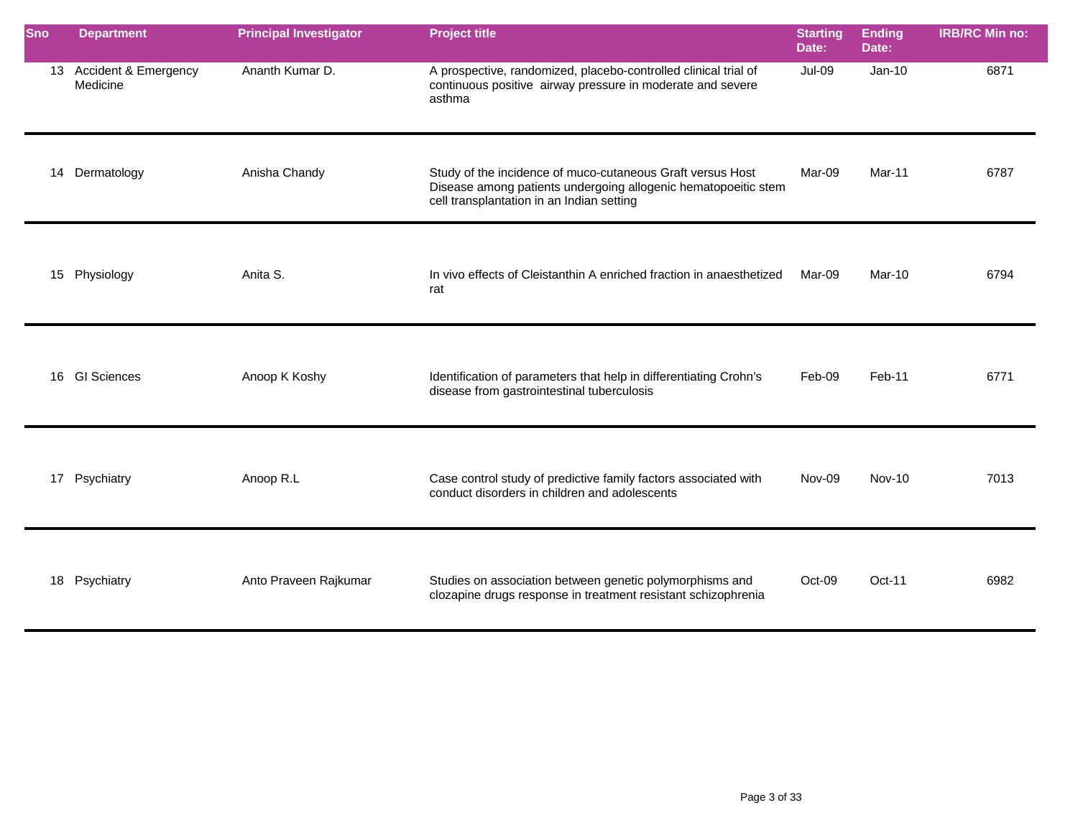| Sno | <b>Department</b>                   | <b>Principal Investigator</b> | <b>Project title</b>                                                                                                                                                      | <b>Starting</b><br>Date: | <b>Ending</b><br>Date: | <b>IRB/RC Min no:</b> |
|-----|-------------------------------------|-------------------------------|---------------------------------------------------------------------------------------------------------------------------------------------------------------------------|--------------------------|------------------------|-----------------------|
|     | 13 Accident & Emergency<br>Medicine | Ananth Kumar D.               | A prospective, randomized, placebo-controlled clinical trial of<br>continuous positive airway pressure in moderate and severe<br>asthma                                   | Jul-09                   | $Jan-10$               | 6871                  |
| 14  | Dermatology                         | Anisha Chandy                 | Study of the incidence of muco-cutaneous Graft versus Host<br>Disease among patients undergoing allogenic hematopoeitic stem<br>cell transplantation in an Indian setting | Mar-09                   | Mar-11                 | 6787                  |
|     | 15 Physiology                       | Anita S.                      | In vivo effects of Cleistanthin A enriched fraction in anaesthetized<br>rat                                                                                               | Mar-09                   | <b>Mar-10</b>          | 6794                  |
| 16  | <b>GI Sciences</b>                  | Anoop K Koshy                 | Identification of parameters that help in differentiating Crohn's<br>disease from gastrointestinal tuberculosis                                                           | Feb-09                   | Feb-11                 | 6771                  |
|     | 17 Psychiatry                       | Anoop R.L                     | Case control study of predictive family factors associated with<br>conduct disorders in children and adolescents                                                          | Nov-09                   | <b>Nov-10</b>          | 7013                  |
| 18  | Psychiatry                          | Anto Praveen Rajkumar         | Studies on association between genetic polymorphisms and<br>clozapine drugs response in treatment resistant schizophrenia                                                 | Oct-09                   | $Oct-11$               | 6982                  |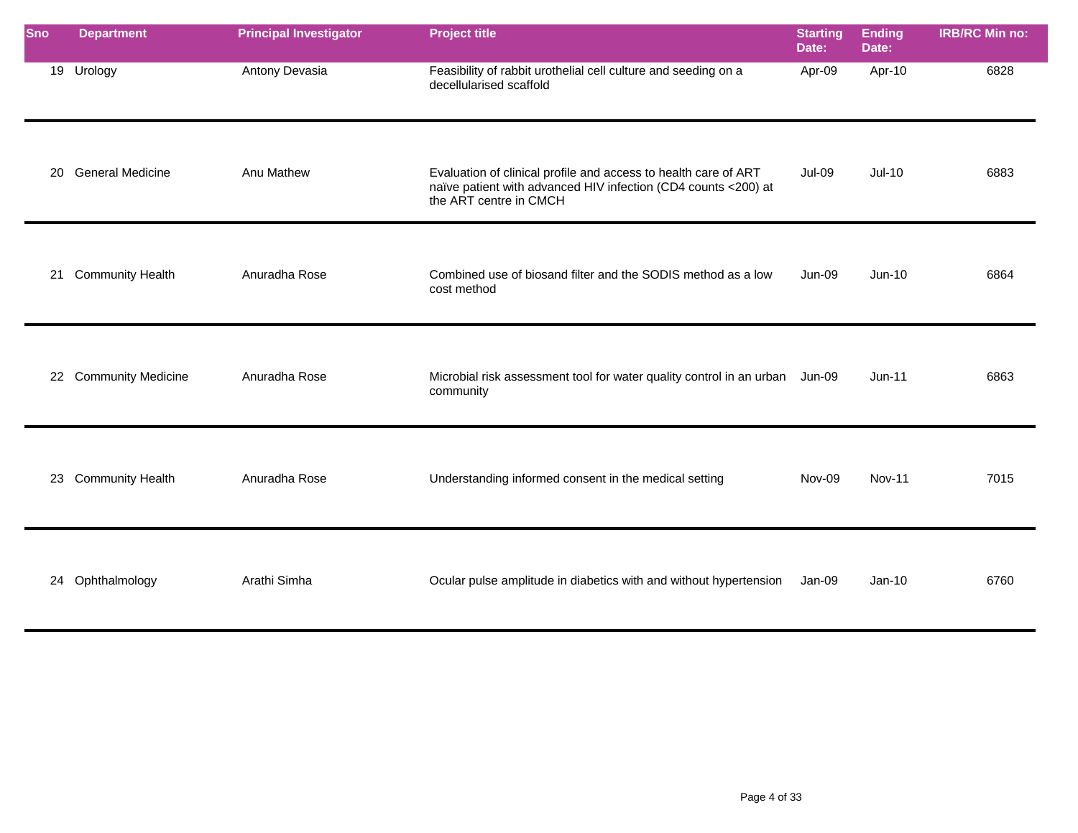| <b>Sno</b> | <b>Department</b>       | <b>Principal Investigator</b> | <b>Project title</b>                                                                                                                                        | <b>Starting</b><br>Date: | <b>Ending</b><br>Date: | <b>IRB/RC Min no:</b> |
|------------|-------------------------|-------------------------------|-------------------------------------------------------------------------------------------------------------------------------------------------------------|--------------------------|------------------------|-----------------------|
|            | 19 Urology              | Antony Devasia                | Feasibility of rabbit urothelial cell culture and seeding on a<br>decellularised scaffold                                                                   | Apr-09                   | Apr-10                 | 6828                  |
| 20         | <b>General Medicine</b> | Anu Mathew                    | Evaluation of clinical profile and access to health care of ART<br>naïve patient with advanced HIV infection (CD4 counts <200) at<br>the ART centre in CMCH | <b>Jul-09</b>            | $Jul-10$               | 6883                  |
| 21         | <b>Community Health</b> | Anuradha Rose                 | Combined use of biosand filter and the SODIS method as a low<br>cost method                                                                                 | <b>Jun-09</b>            | Jun-10                 | 6864                  |
|            | 22 Community Medicine   | Anuradha Rose                 | Microbial risk assessment tool for water quality control in an urban Jun-09<br>community                                                                    |                          | $Jun-11$               | 6863                  |
|            | 23 Community Health     | Anuradha Rose                 | Understanding informed consent in the medical setting                                                                                                       | Nov-09                   | <b>Nov-11</b>          | 7015                  |
|            | 24 Ophthalmology        | Arathi Simha                  | Ocular pulse amplitude in diabetics with and without hypertension                                                                                           | Jan-09                   | $Jan-10$               | 6760                  |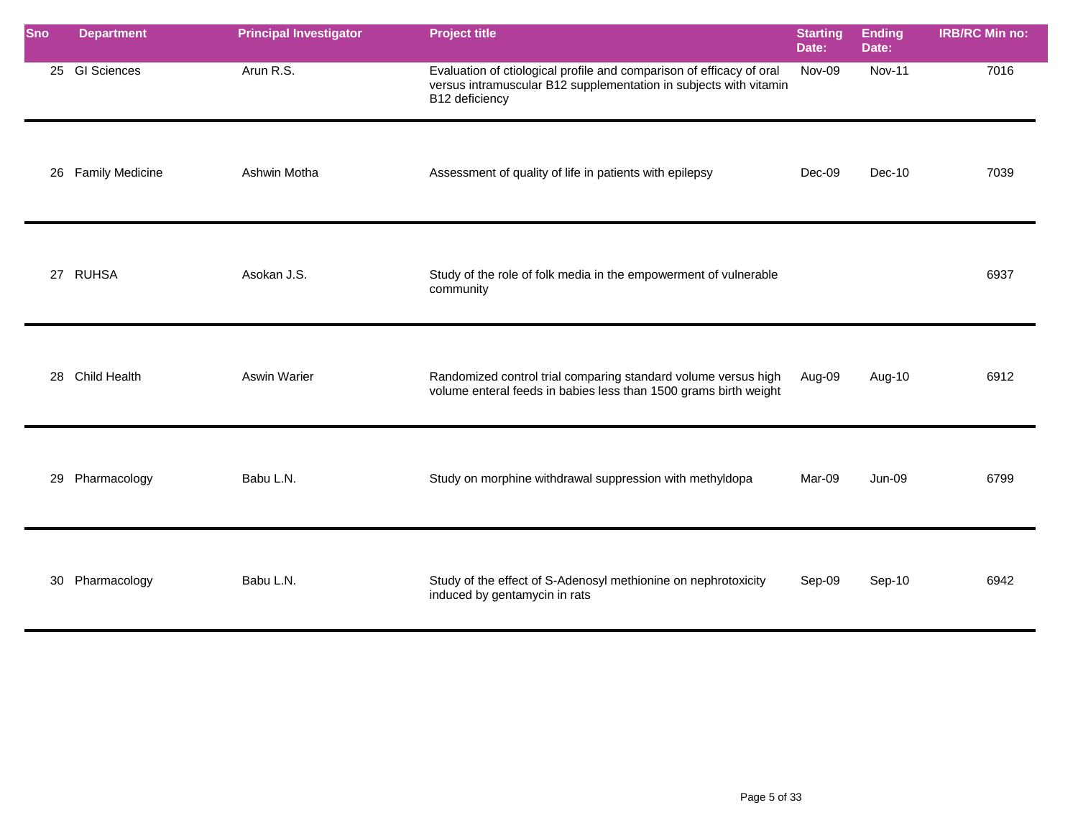| <b>Sno</b> | <b>Department</b>  | <b>Principal Investigator</b> | <b>Project title</b>                                                                                                                                        | <b>Starting</b><br>Date: | <b>Ending</b><br>Date: | <b>IRB/RC Min no:</b> |
|------------|--------------------|-------------------------------|-------------------------------------------------------------------------------------------------------------------------------------------------------------|--------------------------|------------------------|-----------------------|
|            | 25 GI Sciences     | Arun R.S.                     | Evaluation of ctiological profile and comparison of efficacy of oral<br>versus intramuscular B12 supplementation in subjects with vitamin<br>B12 deficiency | Nov-09                   | <b>Nov-11</b>          | 7016                  |
|            | 26 Family Medicine | Ashwin Motha                  | Assessment of quality of life in patients with epilepsy                                                                                                     | Dec-09                   | $Dec-10$               | 7039                  |
|            | 27 RUHSA           | Asokan J.S.                   | Study of the role of folk media in the empowerment of vulnerable<br>community                                                                               |                          |                        | 6937                  |
|            | 28 Child Health    | <b>Aswin Warier</b>           | Randomized control trial comparing standard volume versus high<br>volume enteral feeds in babies less than 1500 grams birth weight                          | Aug-09                   | Aug-10                 | 6912                  |
|            | 29 Pharmacology    | Babu L.N.                     | Study on morphine withdrawal suppression with methyldopa                                                                                                    | Mar-09                   | $Jun-09$               | 6799                  |
|            | 30 Pharmacology    | Babu L.N.                     | Study of the effect of S-Adenosyl methionine on nephrotoxicity<br>induced by gentamycin in rats                                                             | Sep-09                   | Sep-10                 | 6942                  |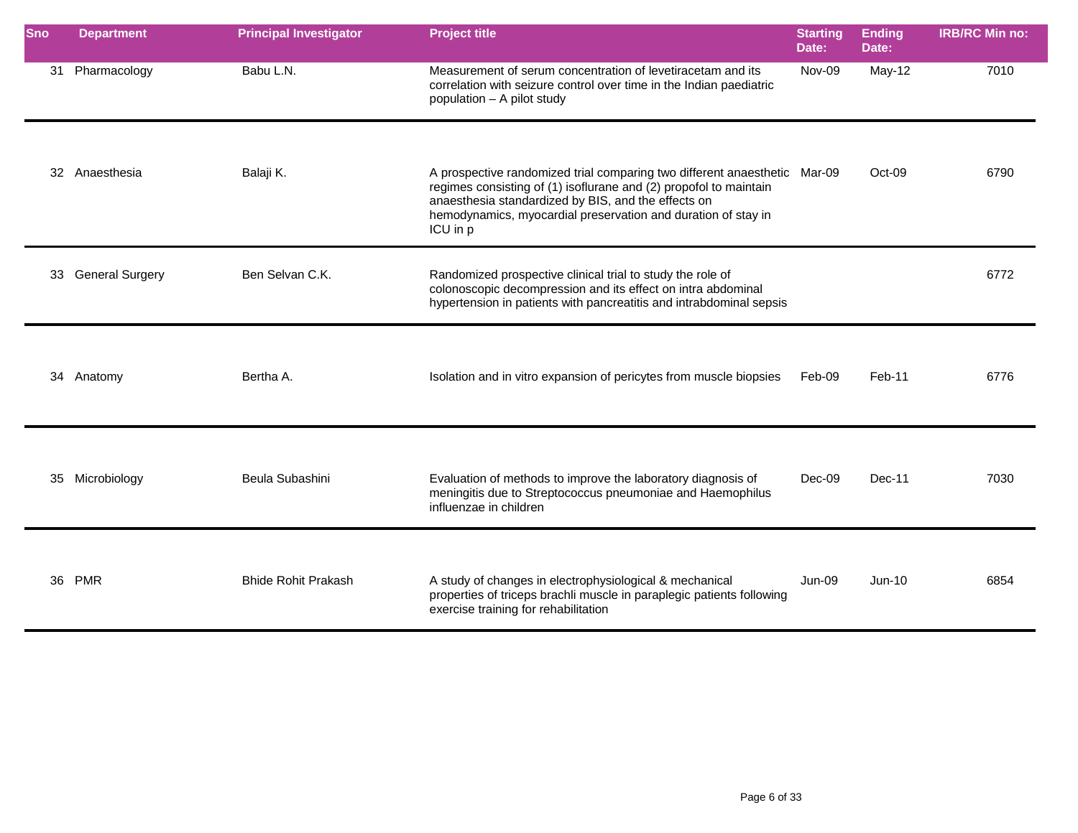| <b>Sno</b> | <b>Department</b>  | <b>Principal Investigator</b> | <b>Project title</b>                                                                                                                                                                                                                                                               | <b>Starting</b><br>Date: | <b>Ending</b><br>Date: | <b>IRB/RC Min no:</b> |
|------------|--------------------|-------------------------------|------------------------------------------------------------------------------------------------------------------------------------------------------------------------------------------------------------------------------------------------------------------------------------|--------------------------|------------------------|-----------------------|
|            | 31 Pharmacology    | Babu L.N.                     | Measurement of serum concentration of levetiracetam and its<br>correlation with seizure control over time in the Indian paediatric<br>population - A pilot study                                                                                                                   | Nov-09                   | May-12                 | 7010                  |
|            | 32 Anaesthesia     | Balaji K.                     | A prospective randomized trial comparing two different anaesthetic Mar-09<br>regimes consisting of (1) isoflurane and (2) propofol to maintain<br>anaesthesia standardized by BIS, and the effects on<br>hemodynamics, myocardial preservation and duration of stay in<br>ICU in p |                          | Oct-09                 | 6790                  |
|            | 33 General Surgery | Ben Selvan C.K.               | Randomized prospective clinical trial to study the role of<br>colonoscopic decompression and its effect on intra abdominal<br>hypertension in patients with pancreatitis and intrabdominal sepsis                                                                                  |                          |                        | 6772                  |
|            | 34 Anatomy         | Bertha A.                     | Isolation and in vitro expansion of pericytes from muscle biopsies                                                                                                                                                                                                                 | Feb-09                   | Feb-11                 | 6776                  |
|            | 35 Microbiology    | Beula Subashini               | Evaluation of methods to improve the laboratory diagnosis of<br>meningitis due to Streptococcus pneumoniae and Haemophilus<br>influenzae in children                                                                                                                               | Dec-09                   | Dec-11                 | 7030                  |
|            | 36 PMR             | <b>Bhide Rohit Prakash</b>    | A study of changes in electrophysiological & mechanical<br>properties of triceps brachli muscle in paraplegic patients following<br>exercise training for rehabilitation                                                                                                           | Jun-09                   | $Jun-10$               | 6854                  |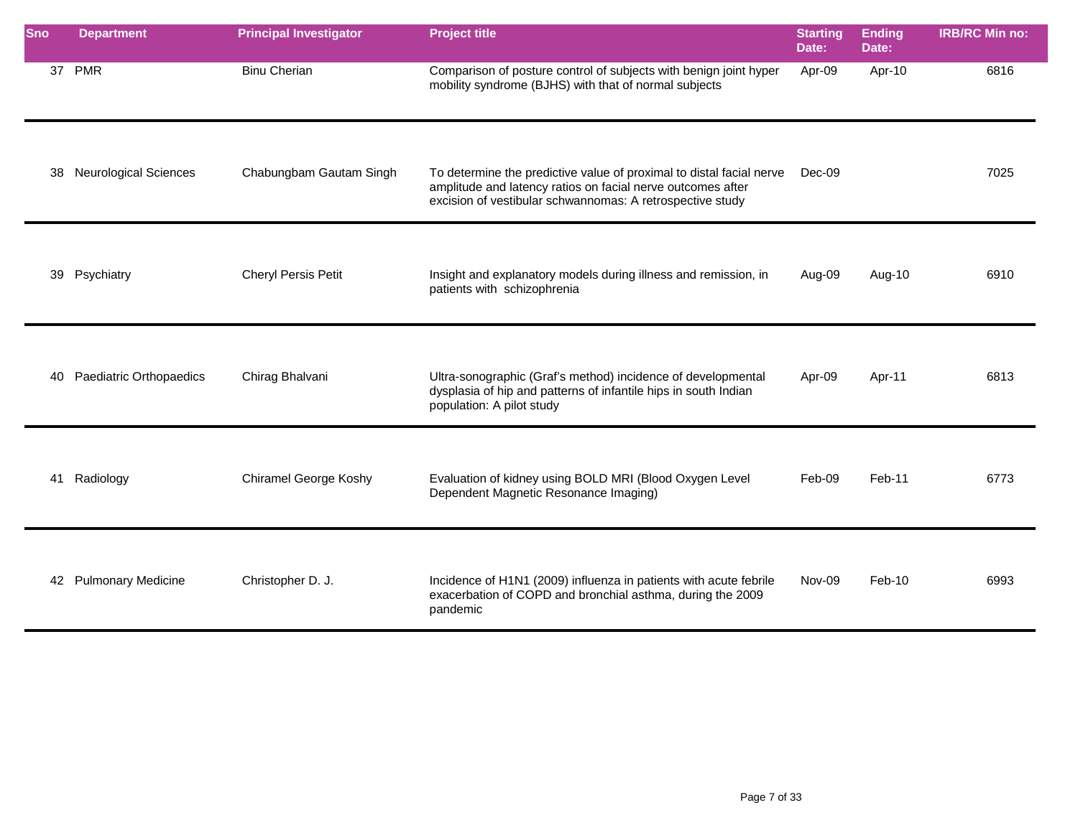| <b>Sno</b> | <b>Department</b>            | <b>Principal Investigator</b> | <b>Project title</b>                                                                                                                                                                             | <b>Starting</b><br>Date: | <b>Ending</b><br>Date: | <b>IRB/RC Min no:</b> |
|------------|------------------------------|-------------------------------|--------------------------------------------------------------------------------------------------------------------------------------------------------------------------------------------------|--------------------------|------------------------|-----------------------|
|            | 37 PMR                       | <b>Binu Cherian</b>           | Comparison of posture control of subjects with benign joint hyper<br>mobility syndrome (BJHS) with that of normal subjects                                                                       | Apr-09                   | Apr-10                 | 6816                  |
| 38         | <b>Neurological Sciences</b> | Chabungbam Gautam Singh       | To determine the predictive value of proximal to distal facial nerve<br>amplitude and latency ratios on facial nerve outcomes after<br>excision of vestibular schwannomas: A retrospective study | Dec-09                   |                        | 7025                  |
|            | 39 Psychiatry                | Cheryl Persis Petit           | Insight and explanatory models during illness and remission, in<br>patients with schizophrenia                                                                                                   | Aug-09                   | Aug-10                 | 6910                  |
| 40         | Paediatric Orthopaedics      | Chirag Bhalvani               | Ultra-sonographic (Graf's method) incidence of developmental<br>dysplasia of hip and patterns of infantile hips in south Indian<br>population: A pilot study                                     | Apr-09                   | Apr-11                 | 6813                  |
| 41         | Radiology                    | <b>Chiramel George Koshy</b>  | Evaluation of kidney using BOLD MRI (Blood Oxygen Level<br>Dependent Magnetic Resonance Imaging)                                                                                                 | Feb-09                   | Feb-11                 | 6773                  |
|            | 42 Pulmonary Medicine        | Christopher D. J.             | Incidence of H1N1 (2009) influenza in patients with acute febrile<br>exacerbation of COPD and bronchial asthma, during the 2009<br>pandemic                                                      | Nov-09                   | $Feb-10$               | 6993                  |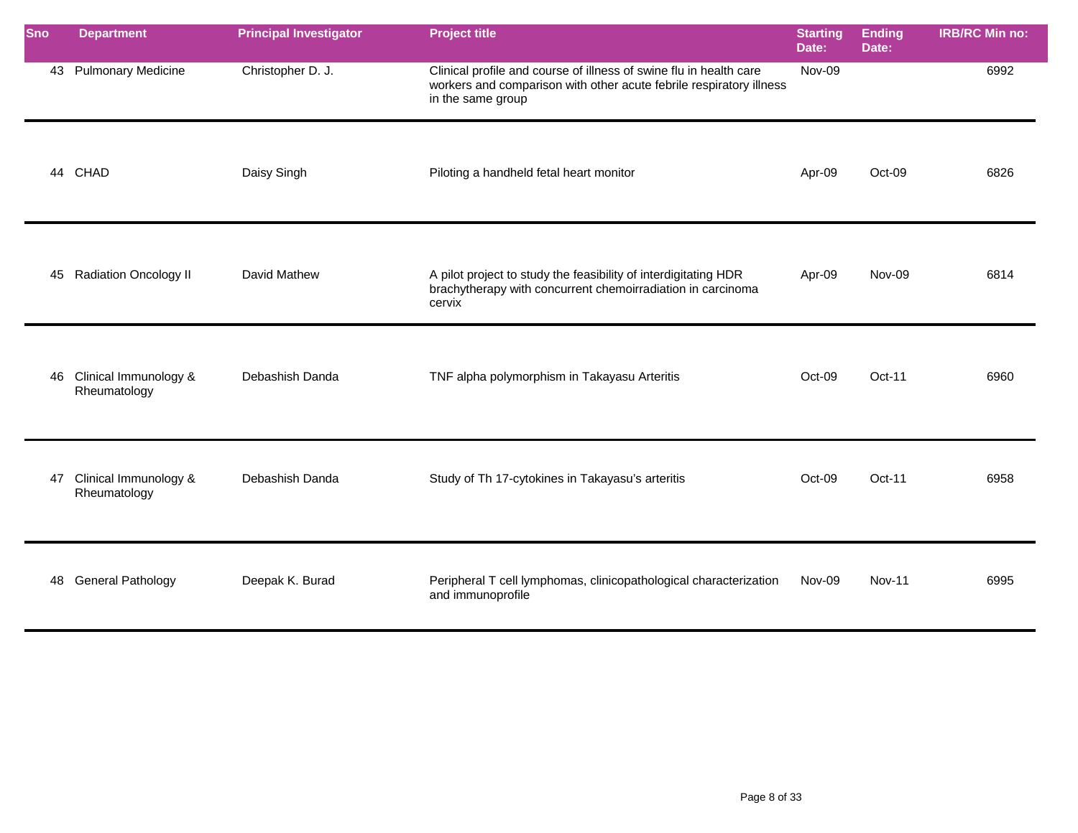| <b>Sno</b> | <b>Department</b>                        | <b>Principal Investigator</b> | <b>Project title</b>                                                                                                                                           | <b>Starting</b><br>Date: | <b>Ending</b><br>Date: | <b>IRB/RC Min no:</b> |
|------------|------------------------------------------|-------------------------------|----------------------------------------------------------------------------------------------------------------------------------------------------------------|--------------------------|------------------------|-----------------------|
|            | 43 Pulmonary Medicine                    | Christopher D. J.             | Clinical profile and course of illness of swine flu in health care<br>workers and comparison with other acute febrile respiratory illness<br>in the same group | Nov-09                   |                        | 6992                  |
| 44         | CHAD                                     | Daisy Singh                   | Piloting a handheld fetal heart monitor                                                                                                                        | Apr-09                   | Oct-09                 | 6826                  |
|            | 45 Radiation Oncology II                 | David Mathew                  | A pilot project to study the feasibility of interdigitating HDR<br>brachytherapy with concurrent chemoirradiation in carcinoma<br>cervix                       | Apr-09                   | Nov-09                 | 6814                  |
|            | 46 Clinical Immunology &<br>Rheumatology | Debashish Danda               | TNF alpha polymorphism in Takayasu Arteritis                                                                                                                   | Oct-09                   | Oct-11                 | 6960                  |
| 47         | Clinical Immunology &<br>Rheumatology    | Debashish Danda               | Study of Th 17-cytokines in Takayasu's arteritis                                                                                                               | Oct-09                   | Oct-11                 | 6958                  |
| 48         | <b>General Pathology</b>                 | Deepak K. Burad               | Peripheral T cell lymphomas, clinicopathological characterization<br>and immunoprofile                                                                         | Nov-09                   | <b>Nov-11</b>          | 6995                  |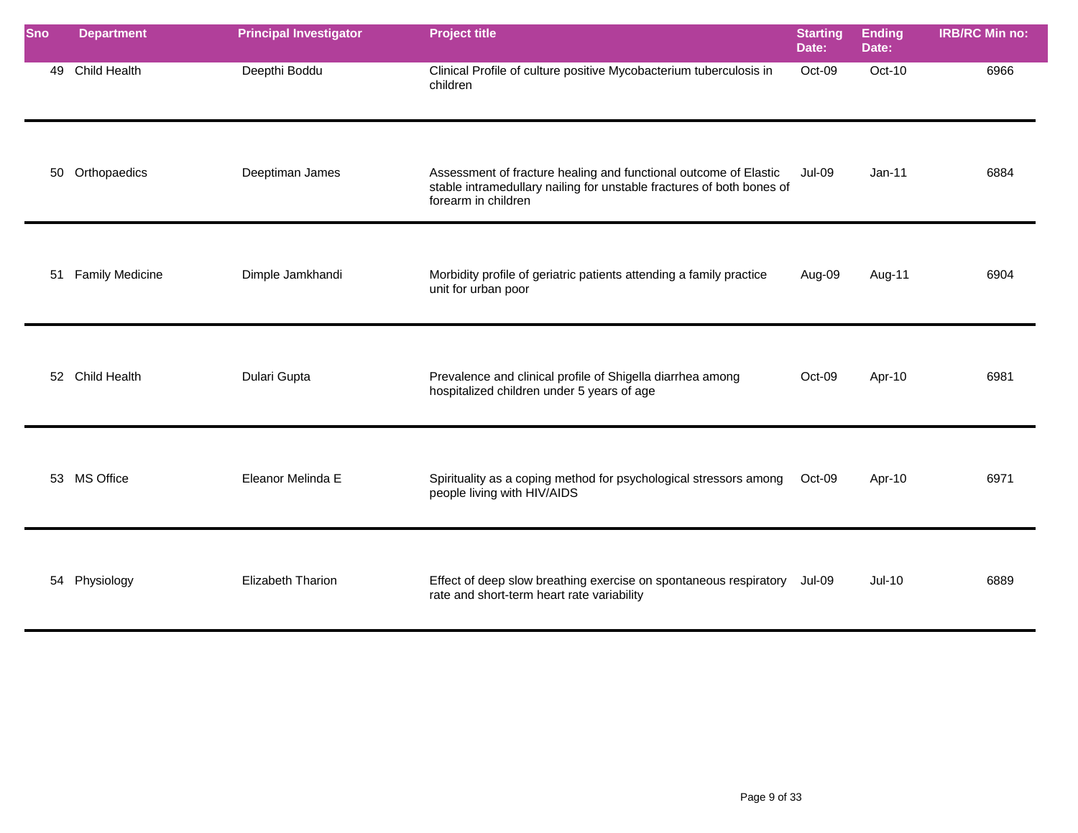| Sno | <b>Department</b>   | <b>Principal Investigator</b> | <b>Project title</b>                                                                                                                                             | <b>Starting</b><br>Date: | <b>Ending</b><br>Date: | <b>IRB/RC Min no:</b> |
|-----|---------------------|-------------------------------|------------------------------------------------------------------------------------------------------------------------------------------------------------------|--------------------------|------------------------|-----------------------|
| 49  | <b>Child Health</b> | Deepthi Boddu                 | Clinical Profile of culture positive Mycobacterium tuberculosis in<br>children                                                                                   | Oct-09                   | Oct-10                 | 6966                  |
| 50  | Orthopaedics        | Deeptiman James               | Assessment of fracture healing and functional outcome of Elastic<br>stable intramedullary nailing for unstable fractures of both bones of<br>forearm in children | <b>Jul-09</b>            | $Jan-11$               | 6884                  |
|     | 51 Family Medicine  | Dimple Jamkhandi              | Morbidity profile of geriatric patients attending a family practice<br>unit for urban poor                                                                       | Aug-09                   | Aug-11                 | 6904                  |
|     | 52 Child Health     | Dulari Gupta                  | Prevalence and clinical profile of Shigella diarrhea among<br>hospitalized children under 5 years of age                                                         | Oct-09                   | Apr-10                 | 6981                  |
|     | 53 MS Office        | Eleanor Melinda E             | Spirituality as a coping method for psychological stressors among<br>people living with HIV/AIDS                                                                 | Oct-09                   | Apr-10                 | 6971                  |
|     | 54 Physiology       | <b>Elizabeth Tharion</b>      | Effect of deep slow breathing exercise on spontaneous respiratory<br>rate and short-term heart rate variability                                                  | Jul-09                   | $Jul-10$               | 6889                  |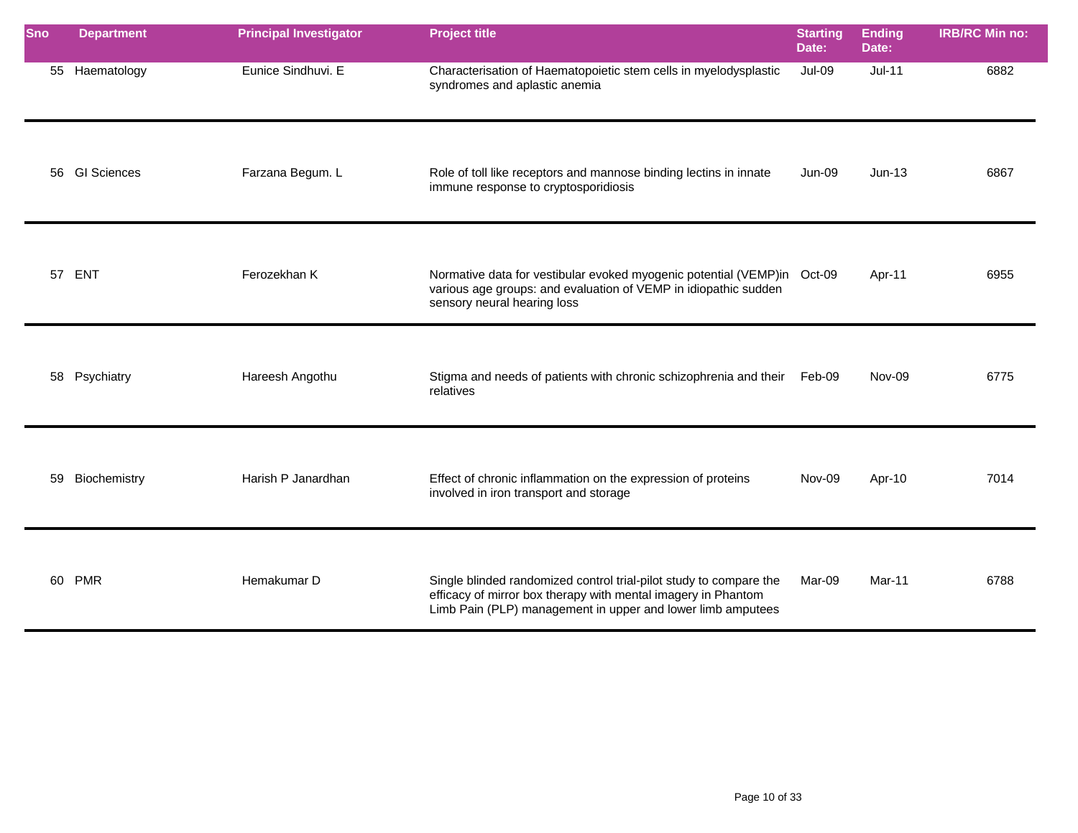| <b>Sno</b> | <b>Department</b> | <b>Principal Investigator</b> | <b>Project title</b>                                                                                                                                                                               | <b>Starting</b><br>Date: | <b>Ending</b><br>Date: | <b>IRB/RC Min no:</b> |
|------------|-------------------|-------------------------------|----------------------------------------------------------------------------------------------------------------------------------------------------------------------------------------------------|--------------------------|------------------------|-----------------------|
|            | 55 Haematology    | Eunice Sindhuvi. E            | Characterisation of Haematopoietic stem cells in myelodysplastic<br>syndromes and aplastic anemia                                                                                                  | Jul-09                   | $Jul-11$               | 6882                  |
|            | 56 GI Sciences    | Farzana Begum. L              | Role of toll like receptors and mannose binding lectins in innate<br>immune response to cryptosporidiosis                                                                                          | <b>Jun-09</b>            | $Jun-13$               | 6867                  |
|            | 57 ENT            | Ferozekhan K                  | Normative data for vestibular evoked myogenic potential (VEMP)in Oct-09<br>various age groups: and evaluation of VEMP in idiopathic sudden<br>sensory neural hearing loss                          |                          | Apr-11                 | 6955                  |
|            | 58 Psychiatry     | Hareesh Angothu               | Stigma and needs of patients with chronic schizophrenia and their Feb-09<br>relatives                                                                                                              |                          | Nov-09                 | 6775                  |
| 59         | Biochemistry      | Harish P Janardhan            | Effect of chronic inflammation on the expression of proteins<br>involved in iron transport and storage                                                                                             | Nov-09                   | Apr-10                 | 7014                  |
|            | 60 PMR            | Hemakumar D                   | Single blinded randomized control trial-pilot study to compare the<br>efficacy of mirror box therapy with mental imagery in Phantom<br>Limb Pain (PLP) management in upper and lower limb amputees | Mar-09                   | Mar-11                 | 6788                  |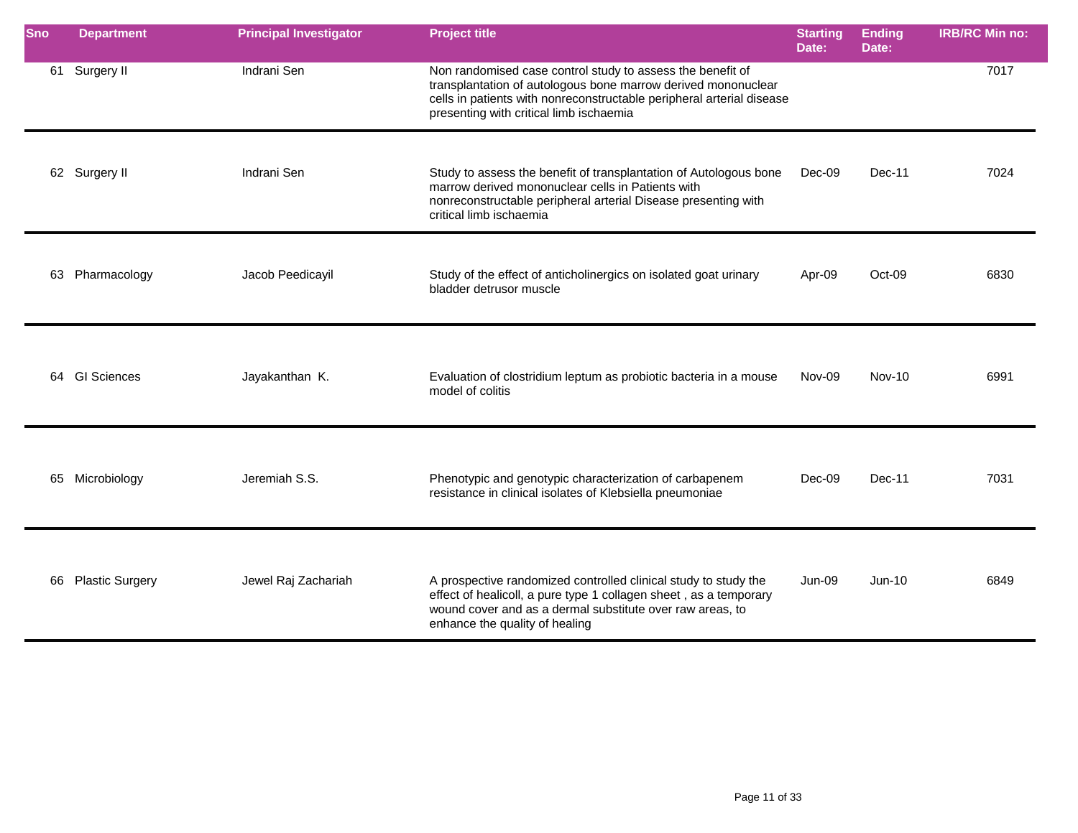| Sno | <b>Department</b>      | <b>Principal Investigator</b> | <b>Project title</b>                                                                                                                                                                                                                            | <b>Starting</b><br>Date: | <b>Ending</b><br>Date: | <b>IRB/RC Min no:</b> |
|-----|------------------------|-------------------------------|-------------------------------------------------------------------------------------------------------------------------------------------------------------------------------------------------------------------------------------------------|--------------------------|------------------------|-----------------------|
|     | 61 Surgery II          | Indrani Sen                   | Non randomised case control study to assess the benefit of<br>transplantation of autologous bone marrow derived mononuclear<br>cells in patients with nonreconstructable peripheral arterial disease<br>presenting with critical limb ischaemia |                          |                        | 7017                  |
|     | 62 Surgery II          | Indrani Sen                   | Study to assess the benefit of transplantation of Autologous bone<br>marrow derived mononuclear cells in Patients with<br>nonreconstructable peripheral arterial Disease presenting with<br>critical limb ischaemia                             | Dec-09                   | Dec-11                 | 7024                  |
|     | 63 Pharmacology        | Jacob Peedicayil              | Study of the effect of anticholinergics on isolated goat urinary<br>bladder detrusor muscle                                                                                                                                                     | Apr-09                   | $Oct-09$               | 6830                  |
|     | 64 GI Sciences         | Jayakanthan K.                | Evaluation of clostridium leptum as probiotic bacteria in a mouse<br>model of colitis                                                                                                                                                           | Nov-09                   | <b>Nov-10</b>          | 6991                  |
|     | 65 Microbiology        | Jeremiah S.S.                 | Phenotypic and genotypic characterization of carbapenem<br>resistance in clinical isolates of Klebsiella pneumoniae                                                                                                                             | Dec-09                   | Dec-11                 | 7031                  |
| 66  | <b>Plastic Surgery</b> | Jewel Raj Zachariah           | A prospective randomized controlled clinical study to study the<br>effect of healicoll, a pure type 1 collagen sheet, as a temporary<br>wound cover and as a dermal substitute over raw areas, to<br>enhance the quality of healing             | Jun-09                   | $Jun-10$               | 6849                  |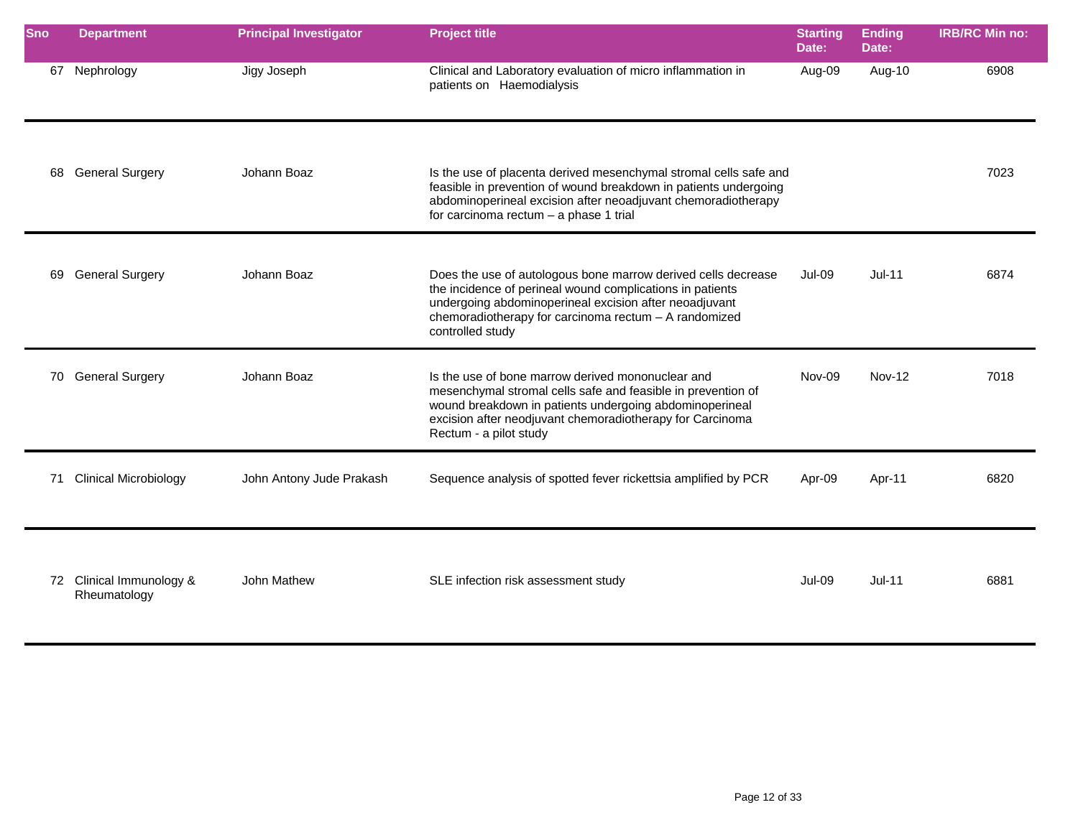| Sno | <b>Department</b>                        | <b>Principal Investigator</b> | <b>Project title</b>                                                                                                                                                                                                                                                | <b>Starting</b><br>Date: | <b>Ending</b><br>Date: | <b>IRB/RC Min no:</b> |
|-----|------------------------------------------|-------------------------------|---------------------------------------------------------------------------------------------------------------------------------------------------------------------------------------------------------------------------------------------------------------------|--------------------------|------------------------|-----------------------|
| 67  | Nephrology                               | Jigy Joseph                   | Clinical and Laboratory evaluation of micro inflammation in<br>patients on Haemodialysis                                                                                                                                                                            | Aug-09                   | Aug-10                 | 6908                  |
|     | 68 General Surgery                       | Johann Boaz                   | Is the use of placenta derived mesenchymal stromal cells safe and<br>feasible in prevention of wound breakdown in patients undergoing<br>abdominoperineal excision after neoadjuvant chemoradiotherapy<br>for carcinoma rectum - a phase 1 trial                    |                          |                        | 7023                  |
| 69  | <b>General Surgery</b>                   | Johann Boaz                   | Does the use of autologous bone marrow derived cells decrease<br>the incidence of perineal wound complications in patients<br>undergoing abdominoperineal excision after neoadjuvant<br>chemoradiotherapy for carcinoma rectum - A randomized<br>controlled study   | <b>Jul-09</b>            | $Jul-11$               | 6874                  |
|     | 70 General Surgery                       | Johann Boaz                   | Is the use of bone marrow derived mononuclear and<br>mesenchymal stromal cells safe and feasible in prevention of<br>wound breakdown in patients undergoing abdominoperineal<br>excision after neodjuvant chemoradiotherapy for Carcinoma<br>Rectum - a pilot study | Nov-09                   | <b>Nov-12</b>          | 7018                  |
|     | 71 Clinical Microbiology                 | John Antony Jude Prakash      | Sequence analysis of spotted fever rickettsia amplified by PCR                                                                                                                                                                                                      | Apr-09                   | Apr-11                 | 6820                  |
|     | 72 Clinical Immunology &<br>Rheumatology | John Mathew                   | SLE infection risk assessment study                                                                                                                                                                                                                                 | <b>Jul-09</b>            | $Jul-11$               | 6881                  |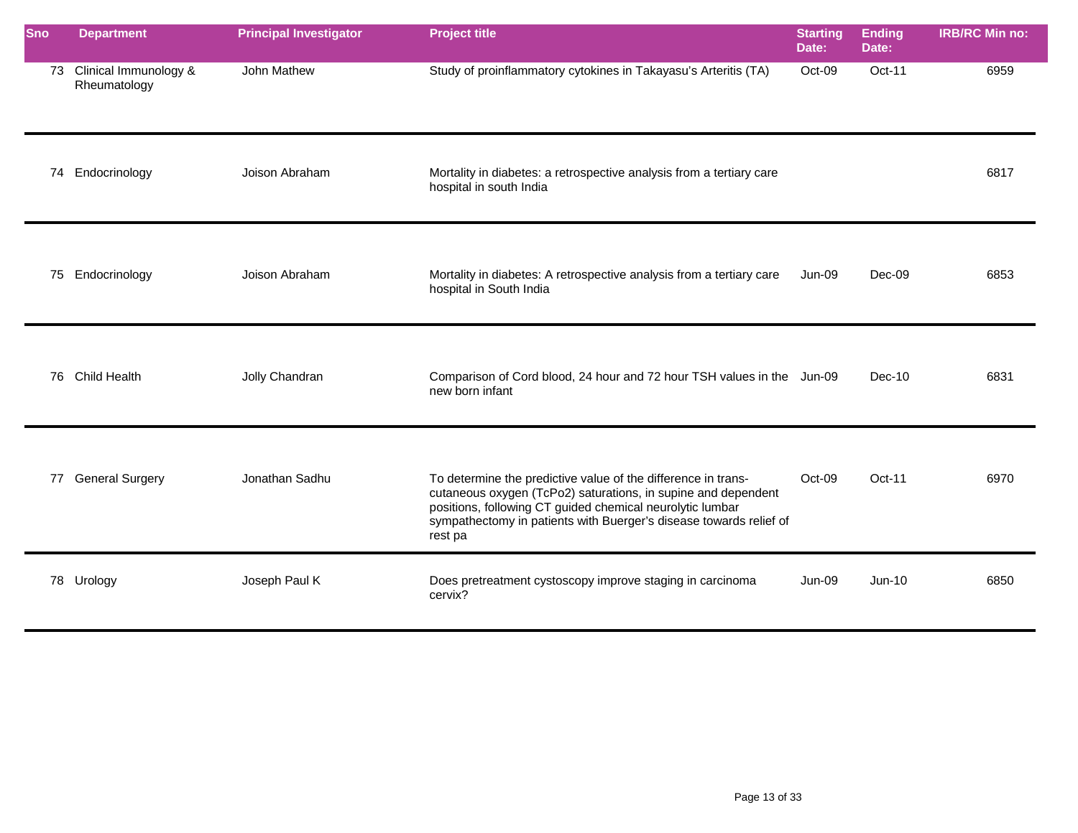| <b>Sno</b> | <b>Department</b>                     | <b>Principal Investigator</b> | <b>Project title</b>                                                                                                                                                                                                                                                         | <b>Starting</b><br>Date: | <b>Ending</b><br>Date: | <b>IRB/RC Min no:</b> |
|------------|---------------------------------------|-------------------------------|------------------------------------------------------------------------------------------------------------------------------------------------------------------------------------------------------------------------------------------------------------------------------|--------------------------|------------------------|-----------------------|
| 73         | Clinical Immunology &<br>Rheumatology | John Mathew                   | Study of proinflammatory cytokines in Takayasu's Arteritis (TA)                                                                                                                                                                                                              | Oct-09                   | Oct-11                 | 6959                  |
|            | 74 Endocrinology                      | Joison Abraham                | Mortality in diabetes: a retrospective analysis from a tertiary care<br>hospital in south India                                                                                                                                                                              |                          |                        | 6817                  |
| 75         | Endocrinology                         | Joison Abraham                | Mortality in diabetes: A retrospective analysis from a tertiary care<br>hospital in South India                                                                                                                                                                              | Jun-09                   | Dec-09                 | 6853                  |
|            | 76 Child Health                       | Jolly Chandran                | Comparison of Cord blood, 24 hour and 72 hour TSH values in the Jun-09<br>new born infant                                                                                                                                                                                    |                          | $Dec-10$               | 6831                  |
|            | 77 General Surgery                    | Jonathan Sadhu                | To determine the predictive value of the difference in trans-<br>cutaneous oxygen (TcPo2) saturations, in supine and dependent<br>positions, following CT guided chemical neurolytic lumbar<br>sympathectomy in patients with Buerger's disease towards relief of<br>rest pa | Oct-09                   | Oct-11                 | 6970                  |
|            | 78 Urology                            | Joseph Paul K                 | Does pretreatment cystoscopy improve staging in carcinoma<br>cervix?                                                                                                                                                                                                         | <b>Jun-09</b>            | $Jun-10$               | 6850                  |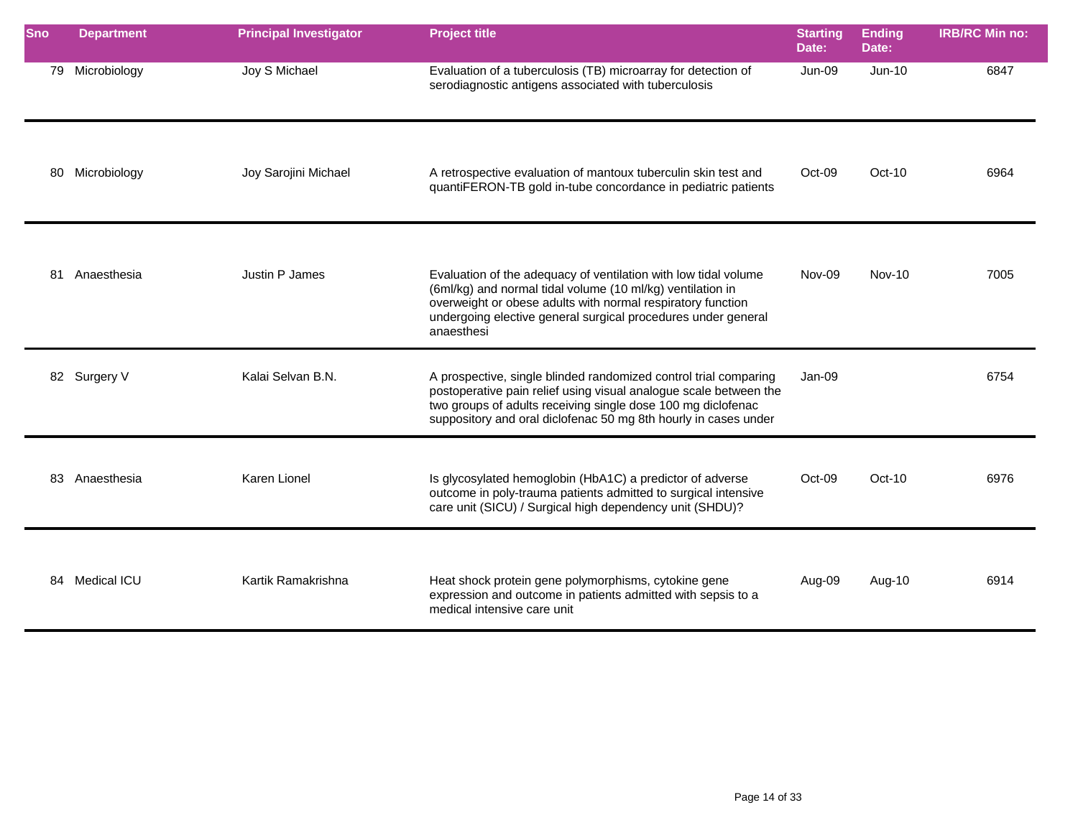| <b>Sno</b> | <b>Department</b> | <b>Principal Investigator</b> | <b>Project title</b>                                                                                                                                                                                                                                                        | <b>Starting</b><br>Date: | <b>Ending</b><br>Date: | <b>IRB/RC Min no:</b> |
|------------|-------------------|-------------------------------|-----------------------------------------------------------------------------------------------------------------------------------------------------------------------------------------------------------------------------------------------------------------------------|--------------------------|------------------------|-----------------------|
|            | 79 Microbiology   | Joy S Michael                 | Evaluation of a tuberculosis (TB) microarray for detection of<br>serodiagnostic antigens associated with tuberculosis                                                                                                                                                       | <b>Jun-09</b>            | $Jun-10$               | 6847                  |
| 80         | Microbiology      | Joy Sarojini Michael          | A retrospective evaluation of mantoux tuberculin skin test and<br>quantiFERON-TB gold in-tube concordance in pediatric patients                                                                                                                                             | Oct-09                   | $Oct-10$               | 6964                  |
| 81         | Anaesthesia       | Justin P James                | Evaluation of the adequacy of ventilation with low tidal volume<br>(6ml/kg) and normal tidal volume (10 ml/kg) ventilation in<br>overweight or obese adults with normal respiratory function<br>undergoing elective general surgical procedures under general<br>anaesthesi | Nov-09                   | <b>Nov-10</b>          | 7005                  |
|            | 82 Surgery V      | Kalai Selvan B.N.             | A prospective, single blinded randomized control trial comparing<br>postoperative pain relief using visual analogue scale between the<br>two groups of adults receiving single dose 100 mg diclofenac<br>suppository and oral diclofenac 50 mg 8th hourly in cases under    | $Jan-09$                 |                        | 6754                  |
|            | 83 Anaesthesia    | Karen Lionel                  | Is glycosylated hemoglobin (HbA1C) a predictor of adverse<br>outcome in poly-trauma patients admitted to surgical intensive<br>care unit (SICU) / Surgical high dependency unit (SHDU)?                                                                                     | Oct-09                   | $Oct-10$               | 6976                  |
|            | 84 Medical ICU    | Kartik Ramakrishna            | Heat shock protein gene polymorphisms, cytokine gene<br>expression and outcome in patients admitted with sepsis to a<br>medical intensive care unit                                                                                                                         | Aug-09                   | Aug-10                 | 6914                  |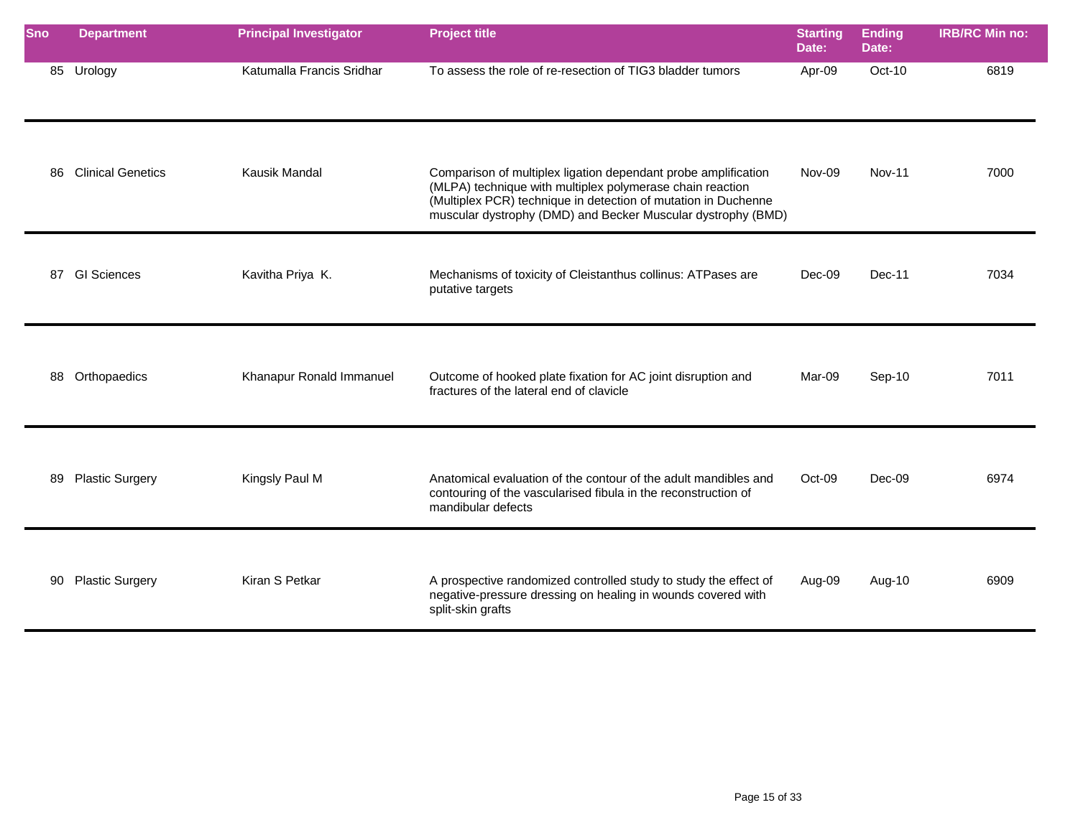| <b>Sno</b> | <b>Department</b>        | <b>Principal Investigator</b> | <b>Project title</b>                                                                                                                                                                                                                                          | <b>Starting</b><br>Date: | <b>Ending</b><br>Date: | <b>IRB/RC Min no:</b> |
|------------|--------------------------|-------------------------------|---------------------------------------------------------------------------------------------------------------------------------------------------------------------------------------------------------------------------------------------------------------|--------------------------|------------------------|-----------------------|
|            | 85 Urology               | Katumalla Francis Sridhar     | To assess the role of re-resection of TIG3 bladder tumors                                                                                                                                                                                                     | Apr-09                   | $Oct-10$               | 6819                  |
| 86         | <b>Clinical Genetics</b> | <b>Kausik Mandal</b>          | Comparison of multiplex ligation dependant probe amplification<br>(MLPA) technique with multiplex polymerase chain reaction<br>(Multiplex PCR) technique in detection of mutation in Duchenne<br>muscular dystrophy (DMD) and Becker Muscular dystrophy (BMD) | Nov-09                   | <b>Nov-11</b>          | 7000                  |
|            | 87 GI Sciences           | Kavitha Priya K.              | Mechanisms of toxicity of Cleistanthus collinus: ATPases are<br>putative targets                                                                                                                                                                              | Dec-09                   | $Dec-11$               | 7034                  |
| 88         | Orthopaedics             | Khanapur Ronald Immanuel      | Outcome of hooked plate fixation for AC joint disruption and<br>fractures of the lateral end of clavicle                                                                                                                                                      | Mar-09                   | Sep-10                 | 7011                  |
| 89         | <b>Plastic Surgery</b>   | Kingsly Paul M                | Anatomical evaluation of the contour of the adult mandibles and<br>contouring of the vascularised fibula in the reconstruction of<br>mandibular defects                                                                                                       | Oct-09                   | $Dec-09$               | 6974                  |
|            | 90 Plastic Surgery       | Kiran S Petkar                | A prospective randomized controlled study to study the effect of<br>negative-pressure dressing on healing in wounds covered with<br>split-skin grafts                                                                                                         | Aug-09                   | Aug-10                 | 6909                  |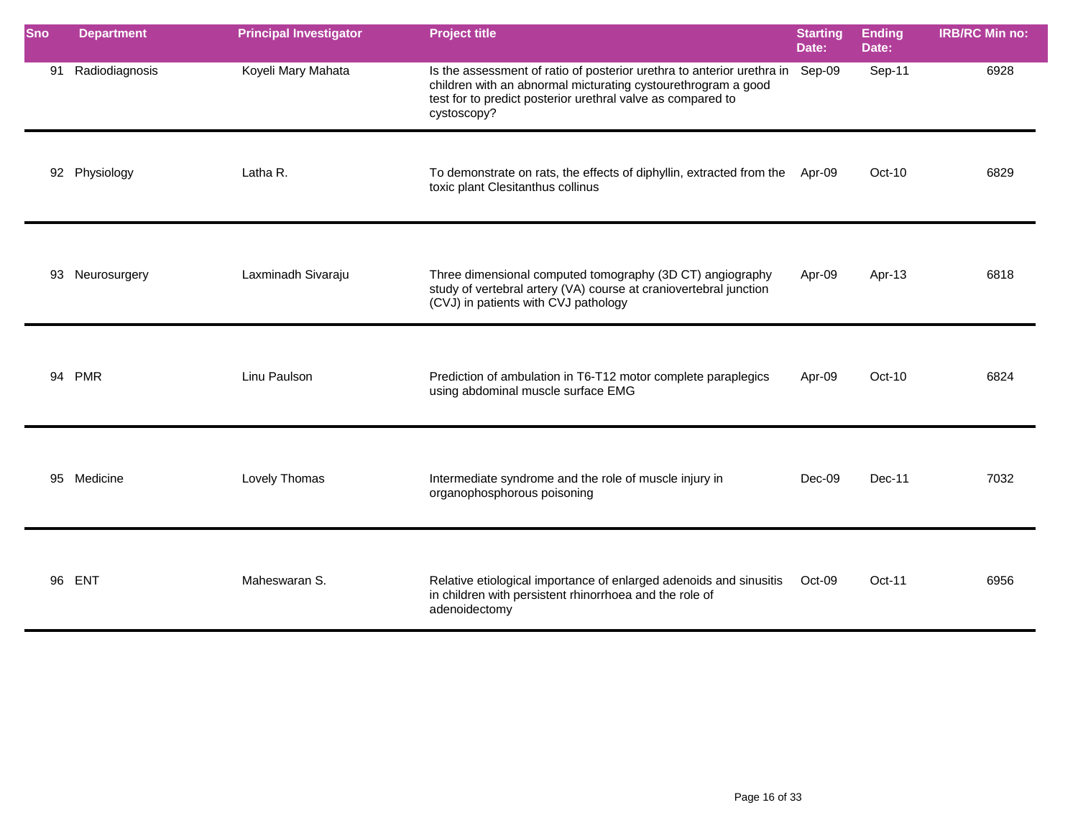| <b>Sno</b> | <b>Department</b> | <b>Principal Investigator</b> | <b>Project title</b>                                                                                                                                                                                                  | <b>Starting</b><br>Date: | <b>Ending</b><br>Date: | <b>IRB/RC Min no:</b> |
|------------|-------------------|-------------------------------|-----------------------------------------------------------------------------------------------------------------------------------------------------------------------------------------------------------------------|--------------------------|------------------------|-----------------------|
| 91         | Radiodiagnosis    | Koyeli Mary Mahata            | Is the assessment of ratio of posterior urethra to anterior urethra in<br>children with an abnormal micturating cystourethrogram a good<br>test for to predict posterior urethral valve as compared to<br>cystoscopy? | Sep-09                   | Sep-11                 | 6928                  |
|            | 92 Physiology     | Latha R.                      | To demonstrate on rats, the effects of diphyllin, extracted from the<br>toxic plant Clesitanthus collinus                                                                                                             | Apr-09                   | Oct-10                 | 6829                  |
| 93         | Neurosurgery      | Laxminadh Sivaraju            | Three dimensional computed tomography (3D CT) angiography<br>study of vertebral artery (VA) course at craniovertebral junction<br>(CVJ) in patients with CVJ pathology                                                | Apr-09                   | Apr-13                 | 6818                  |
|            | 94 PMR            | Linu Paulson                  | Prediction of ambulation in T6-T12 motor complete paraplegics<br>using abdominal muscle surface EMG                                                                                                                   | Apr-09                   | $Oct-10$               | 6824                  |
| 95         | Medicine          | Lovely Thomas                 | Intermediate syndrome and the role of muscle injury in<br>organophosphorous poisoning                                                                                                                                 | Dec-09                   | Dec-11                 | 7032                  |
| 96         | <b>ENT</b>        | Maheswaran S.                 | Relative etiological importance of enlarged adenoids and sinusitis<br>in children with persistent rhinorrhoea and the role of<br>adenoidectomy                                                                        | Oct-09                   | Oct-11                 | 6956                  |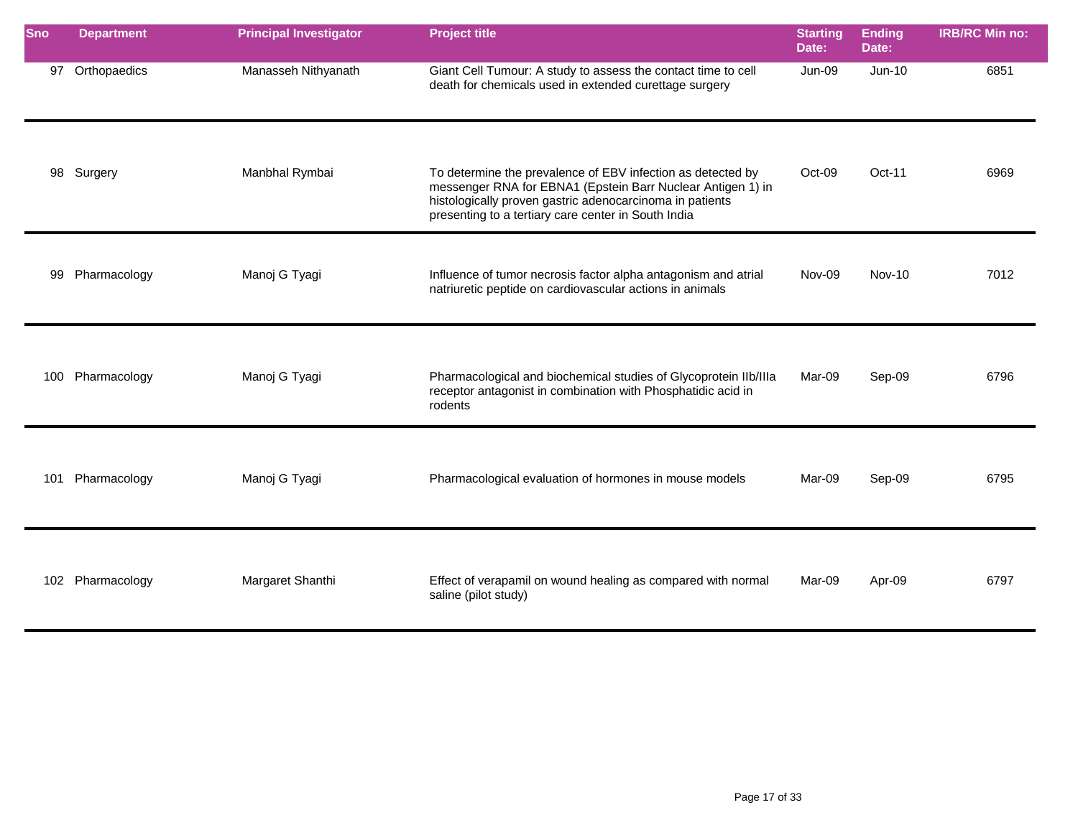| <b>Sno</b> | <b>Department</b> | <b>Principal Investigator</b> | <b>Project title</b>                                                                                                                                                                                                                          | <b>Starting</b><br>Date: | Ending<br>Date: | <b>IRB/RC Min no:</b> |
|------------|-------------------|-------------------------------|-----------------------------------------------------------------------------------------------------------------------------------------------------------------------------------------------------------------------------------------------|--------------------------|-----------------|-----------------------|
| 97         | Orthopaedics      | Manasseh Nithyanath           | Giant Cell Tumour: A study to assess the contact time to cell<br>death for chemicals used in extended curettage surgery                                                                                                                       | <b>Jun-09</b>            | Jun-10          | 6851                  |
|            | 98 Surgery        | Manbhal Rymbai                | To determine the prevalence of EBV infection as detected by<br>messenger RNA for EBNA1 (Epstein Barr Nuclear Antigen 1) in<br>histologically proven gastric adenocarcinoma in patients<br>presenting to a tertiary care center in South India | Oct-09                   | $Oct-11$        | 6969                  |
| 99         | Pharmacology      | Manoj G Tyagi                 | Influence of tumor necrosis factor alpha antagonism and atrial<br>natriuretic peptide on cardiovascular actions in animals                                                                                                                    | Nov-09                   | <b>Nov-10</b>   | 7012                  |
|            | 100 Pharmacology  | Manoj G Tyagi                 | Pharmacological and biochemical studies of Glycoprotein Ilb/IIIa<br>receptor antagonist in combination with Phosphatidic acid in<br>rodents                                                                                                   | Mar-09                   | Sep-09          | 6796                  |
| 101        | Pharmacology      | Manoj G Tyagi                 | Pharmacological evaluation of hormones in mouse models                                                                                                                                                                                        | Mar-09                   | Sep-09          | 6795                  |
|            | 102 Pharmacology  | Margaret Shanthi              | Effect of verapamil on wound healing as compared with normal<br>saline (pilot study)                                                                                                                                                          | Mar-09                   | Apr-09          | 6797                  |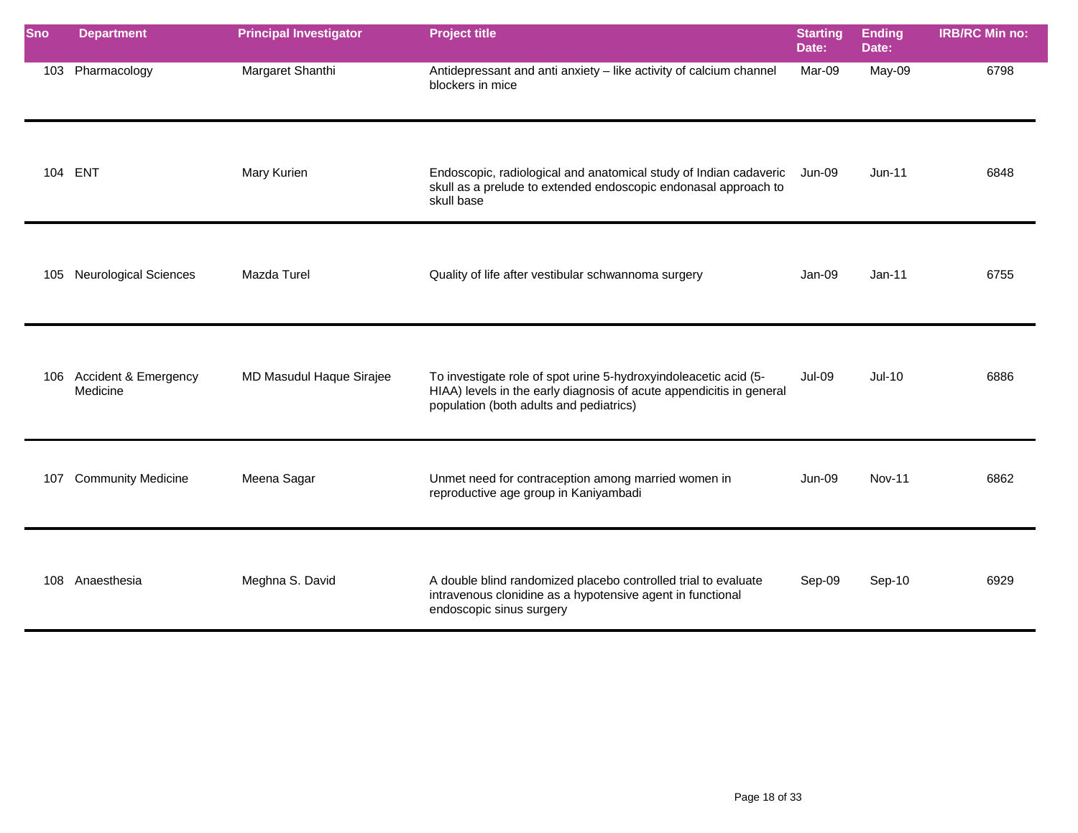| Sno | <b>Department</b>                    | <b>Principal Investigator</b> | <b>Project title</b>                                                                                                                                                                | <b>Starting</b><br>Date: | <b>Ending</b><br>Date: | <b>IRB/RC Min no:</b> |
|-----|--------------------------------------|-------------------------------|-------------------------------------------------------------------------------------------------------------------------------------------------------------------------------------|--------------------------|------------------------|-----------------------|
|     | 103 Pharmacology                     | Margaret Shanthi              | Antidepressant and anti anxiety - like activity of calcium channel<br>blockers in mice                                                                                              | Mar-09                   | May-09                 | 6798                  |
|     | 104 ENT                              | Mary Kurien                   | Endoscopic, radiological and anatomical study of Indian cadaveric<br>skull as a prelude to extended endoscopic endonasal approach to<br>skull base                                  | <b>Jun-09</b>            | $Jun-11$               | 6848                  |
|     | 105 Neurological Sciences            | Mazda Turel                   | Quality of life after vestibular schwannoma surgery                                                                                                                                 | Jan-09                   | $Jan-11$               | 6755                  |
|     | 106 Accident & Emergency<br>Medicine | MD Masudul Haque Sirajee      | To investigate role of spot urine 5-hydroxyindoleacetic acid (5-<br>HIAA) levels in the early diagnosis of acute appendicitis in general<br>population (both adults and pediatrics) | <b>Jul-09</b>            | $Jul-10$               | 6886                  |
| 107 | <b>Community Medicine</b>            | Meena Sagar                   | Unmet need for contraception among married women in<br>reproductive age group in Kaniyambadi                                                                                        | <b>Jun-09</b>            | <b>Nov-11</b>          | 6862                  |
|     | 108 Anaesthesia                      | Meghna S. David               | A double blind randomized placebo controlled trial to evaluate<br>intravenous clonidine as a hypotensive agent in functional<br>endoscopic sinus surgery                            | Sep-09                   | Sep-10                 | 6929                  |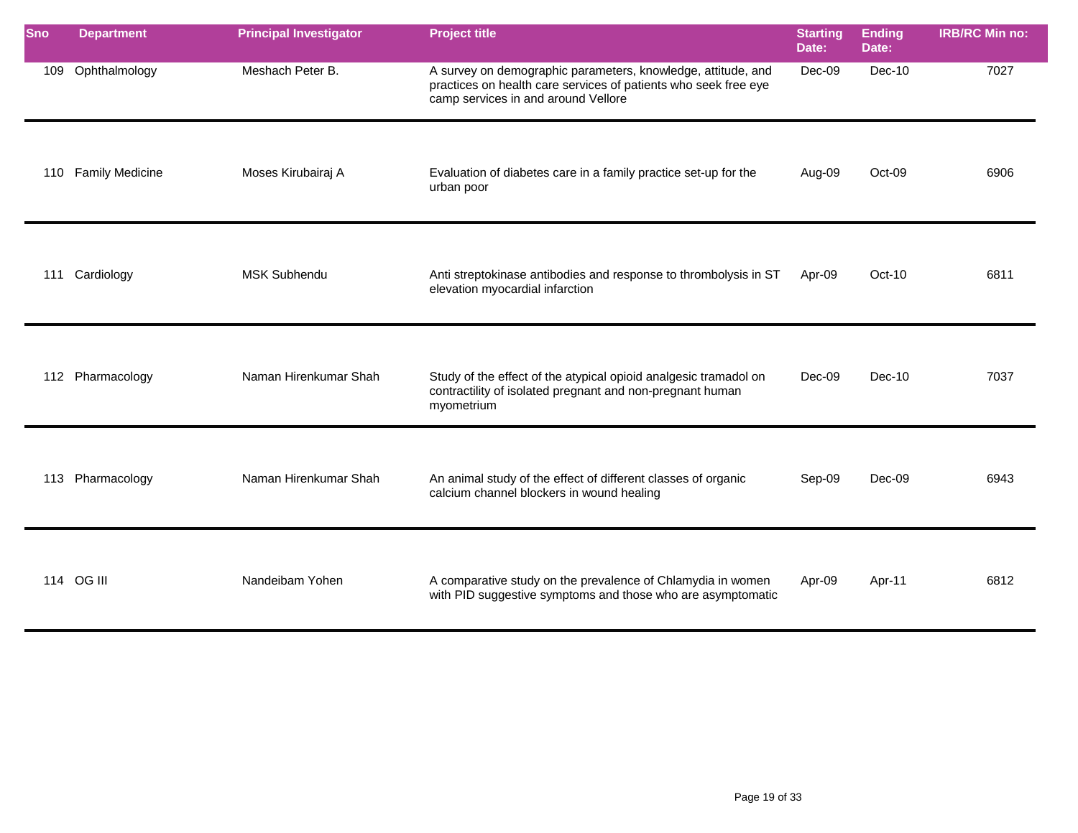| <b>Sno</b> | <b>Department</b>      | <b>Principal Investigator</b> | <b>Project title</b>                                                                                                                                                   | <b>Starting</b><br>Date: | <b>Ending</b><br>Date: | <b>IRB/RC Min no:</b> |
|------------|------------------------|-------------------------------|------------------------------------------------------------------------------------------------------------------------------------------------------------------------|--------------------------|------------------------|-----------------------|
| 109        | Ophthalmology          | Meshach Peter B.              | A survey on demographic parameters, knowledge, attitude, and<br>practices on health care services of patients who seek free eye<br>camp services in and around Vellore | Dec-09                   | $Dec-10$               | 7027                  |
| 110        | <b>Family Medicine</b> | Moses Kirubairaj A            | Evaluation of diabetes care in a family practice set-up for the<br>urban poor                                                                                          | Aug-09                   | Oct-09                 | 6906                  |
| 111        | Cardiology             | <b>MSK Subhendu</b>           | Anti streptokinase antibodies and response to thrombolysis in ST<br>elevation myocardial infarction                                                                    | Apr-09                   | $Oct-10$               | 6811                  |
|            | 112 Pharmacology       | Naman Hirenkumar Shah         | Study of the effect of the atypical opioid analgesic tramadol on<br>contractility of isolated pregnant and non-pregnant human<br>myometrium                            | Dec-09                   | $Dec-10$               | 7037                  |
| 113        | Pharmacology           | Naman Hirenkumar Shah         | An animal study of the effect of different classes of organic<br>calcium channel blockers in wound healing                                                             | Sep-09                   | Dec-09                 | 6943                  |
|            | 114 OG III             | Nandeibam Yohen               | A comparative study on the prevalence of Chlamydia in women<br>with PID suggestive symptoms and those who are asymptomatic                                             | Apr-09                   | Apr-11                 | 6812                  |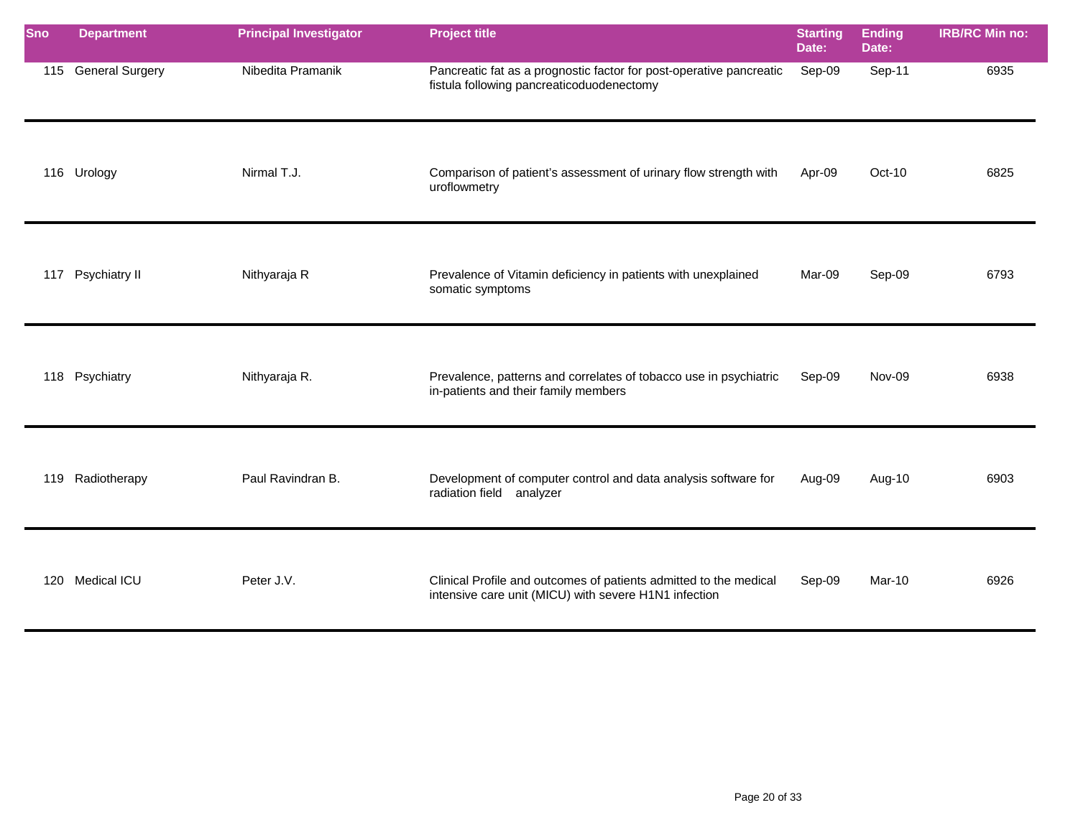| <b>Sno</b> | <b>Department</b>   | <b>Principal Investigator</b> | <b>Project title</b>                                                                                                       | <b>Starting</b><br>Date: | <b>Ending</b><br>Date: | <b>IRB/RC Min no:</b> |
|------------|---------------------|-------------------------------|----------------------------------------------------------------------------------------------------------------------------|--------------------------|------------------------|-----------------------|
|            | 115 General Surgery | Nibedita Pramanik             | Pancreatic fat as a prognostic factor for post-operative pancreatic<br>fistula following pancreaticoduodenectomy           | Sep-09                   | Sep-11                 | 6935                  |
| 116        | Urology             | Nirmal T.J.                   | Comparison of patient's assessment of urinary flow strength with<br>uroflowmetry                                           | Apr-09                   | $Oct-10$               | 6825                  |
|            | 117 Psychiatry II   | Nithyaraja R                  | Prevalence of Vitamin deficiency in patients with unexplained<br>somatic symptoms                                          | Mar-09                   | Sep-09                 | 6793                  |
| 118        | Psychiatry          | Nithyaraja R.                 | Prevalence, patterns and correlates of tobacco use in psychiatric<br>in-patients and their family members                  | Sep-09                   | Nov-09                 | 6938                  |
| 119        | Radiotherapy        | Paul Ravindran B.             | Development of computer control and data analysis software for<br>radiation field analyzer                                 | Aug-09                   | Aug-10                 | 6903                  |
| 120        | Medical ICU         | Peter J.V.                    | Clinical Profile and outcomes of patients admitted to the medical<br>intensive care unit (MICU) with severe H1N1 infection | Sep-09                   | <b>Mar-10</b>          | 6926                  |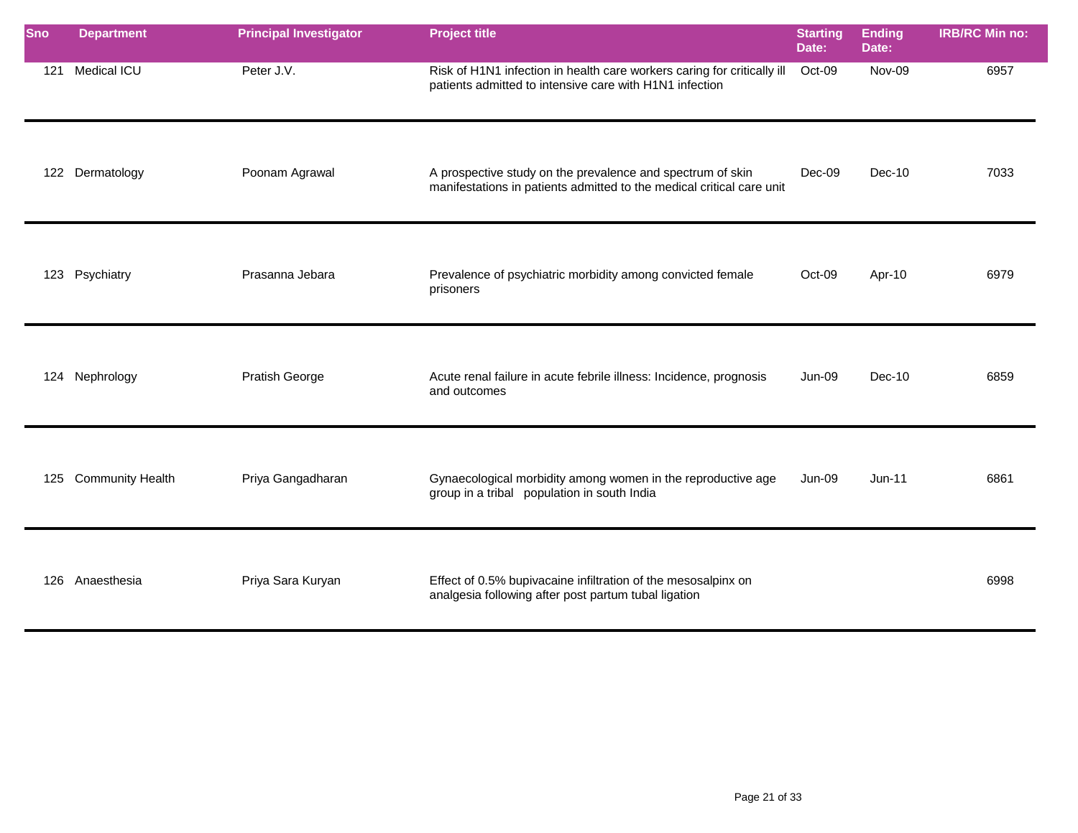| Sno | <b>Department</b>    | <b>Principal Investigator</b> | <b>Project title</b>                                                                                                                | <b>Starting</b><br>Date: | <b>Ending</b><br>Date: | <b>IRB/RC Min no:</b> |
|-----|----------------------|-------------------------------|-------------------------------------------------------------------------------------------------------------------------------------|--------------------------|------------------------|-----------------------|
| 121 | Medical ICU          | Peter J.V.                    | Risk of H1N1 infection in health care workers caring for critically ill<br>patients admitted to intensive care with H1N1 infection  | Oct-09                   | Nov-09                 | 6957                  |
|     | 122 Dermatology      | Poonam Agrawal                | A prospective study on the prevalence and spectrum of skin<br>manifestations in patients admitted to the medical critical care unit | $Dec-09$                 | $Dec-10$               | 7033                  |
|     | 123 Psychiatry       | Prasanna Jebara               | Prevalence of psychiatric morbidity among convicted female<br>prisoners                                                             | Oct-09                   | Apr-10                 | 6979                  |
|     | 124 Nephrology       | Pratish George                | Acute renal failure in acute febrile illness: Incidence, prognosis<br>and outcomes                                                  | Jun-09                   | $Dec-10$               | 6859                  |
|     | 125 Community Health | Priya Gangadharan             | Gynaecological morbidity among women in the reproductive age<br>group in a tribal population in south India                         | <b>Jun-09</b>            | $Jun-11$               | 6861                  |
|     | 126 Anaesthesia      | Priya Sara Kuryan             | Effect of 0.5% bupivacaine infiltration of the mesosalpinx on<br>analgesia following after post partum tubal ligation               |                          |                        | 6998                  |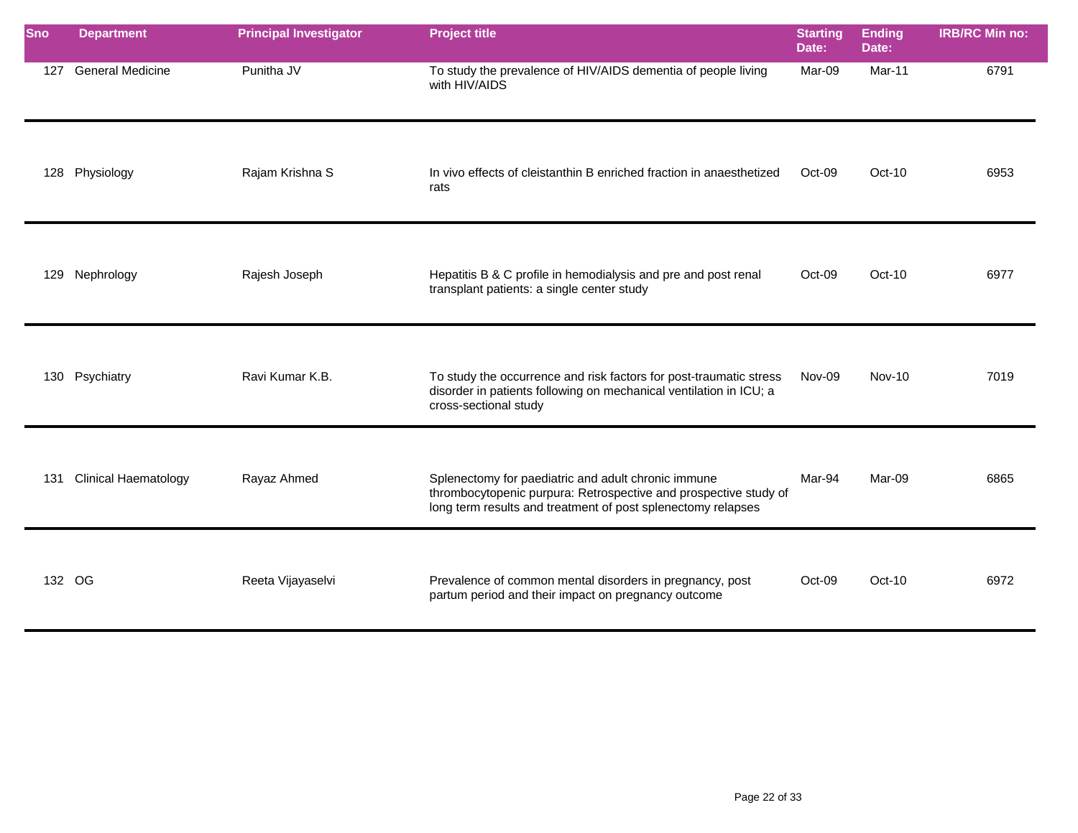| Sno    | <b>Department</b>           | <b>Principal Investigator</b> | <b>Project title</b>                                                                                                                                                                    | <b>Starting</b><br>Date: | <b>Ending</b><br>Date: | <b>IRB/RC Min no:</b> |
|--------|-----------------------------|-------------------------------|-----------------------------------------------------------------------------------------------------------------------------------------------------------------------------------------|--------------------------|------------------------|-----------------------|
| 127    | <b>General Medicine</b>     | Punitha JV                    | To study the prevalence of HIV/AIDS dementia of people living<br>with HIV/AIDS                                                                                                          | Mar-09                   | Mar-11                 | 6791                  |
| 128    | Physiology                  | Rajam Krishna S               | In vivo effects of cleistanthin B enriched fraction in anaesthetized<br>rats                                                                                                            | Oct-09                   | $Oct-10$               | 6953                  |
| 129    | Nephrology                  | Rajesh Joseph                 | Hepatitis B & C profile in hemodialysis and pre and post renal<br>transplant patients: a single center study                                                                            | Oct-09                   | $Oct-10$               | 6977                  |
| 130    | Psychiatry                  | Ravi Kumar K.B.               | To study the occurrence and risk factors for post-traumatic stress<br>disorder in patients following on mechanical ventilation in ICU; a<br>cross-sectional study                       | Nov-09                   | <b>Nov-10</b>          | 7019                  |
| 131    | <b>Clinical Haematology</b> | Rayaz Ahmed                   | Splenectomy for paediatric and adult chronic immune<br>thrombocytopenic purpura: Retrospective and prospective study of<br>long term results and treatment of post splenectomy relapses | Mar-94                   | Mar-09                 | 6865                  |
| 132 OG |                             | Reeta Vijayaselvi             | Prevalence of common mental disorders in pregnancy, post<br>partum period and their impact on pregnancy outcome                                                                         | Oct-09                   | $Oct-10$               | 6972                  |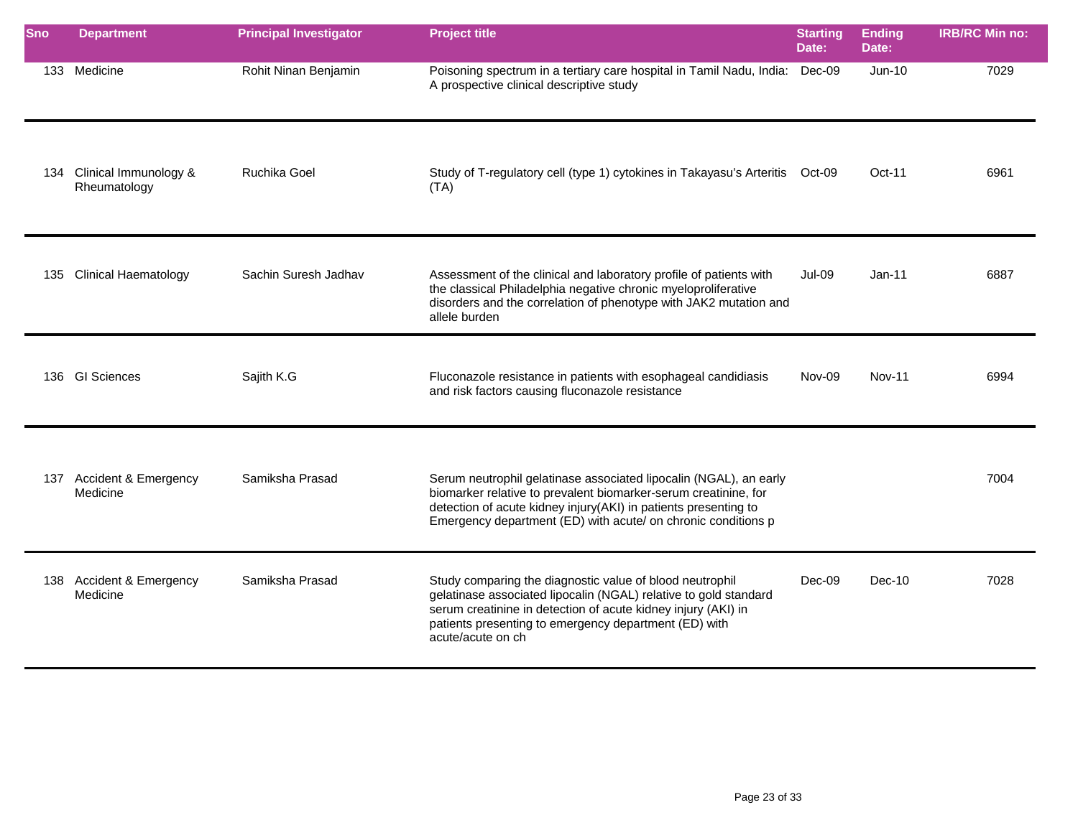| Sno | <b>Department</b>                     | <b>Principal Investigator</b> | <b>Project title</b>                                                                                                                                                                                                                                                        | <b>Starting</b><br>Date: | <b>Ending</b><br>Date: | <b>IRB/RC Min no:</b> |
|-----|---------------------------------------|-------------------------------|-----------------------------------------------------------------------------------------------------------------------------------------------------------------------------------------------------------------------------------------------------------------------------|--------------------------|------------------------|-----------------------|
|     | 133 Medicine                          | Rohit Ninan Benjamin          | Poisoning spectrum in a tertiary care hospital in Tamil Nadu, India: Dec-09<br>A prospective clinical descriptive study                                                                                                                                                     |                          | $Jun-10$               | 7029                  |
| 134 | Clinical Immunology &<br>Rheumatology | Ruchika Goel                  | Study of T-regulatory cell (type 1) cytokines in Takayasu's Arteritis Oct-09<br>(TA)                                                                                                                                                                                        |                          | $Oct-11$               | 6961                  |
|     | 135 Clinical Haematology              | Sachin Suresh Jadhav          | Assessment of the clinical and laboratory profile of patients with<br>the classical Philadelphia negative chronic myeloproliferative<br>disorders and the correlation of phenotype with JAK2 mutation and<br>allele burden                                                  | <b>Jul-09</b>            | $Jan-11$               | 6887                  |
|     | 136 GI Sciences                       | Sajith K.G                    | Fluconazole resistance in patients with esophageal candidiasis<br>and risk factors causing fluconazole resistance                                                                                                                                                           | Nov-09                   | <b>Nov-11</b>          | 6994                  |
|     | 137 Accident & Emergency<br>Medicine  | Samiksha Prasad               | Serum neutrophil gelatinase associated lipocalin (NGAL), an early<br>biomarker relative to prevalent biomarker-serum creatinine, for<br>detection of acute kidney injury(AKI) in patients presenting to<br>Emergency department (ED) with acute/ on chronic conditions p    |                          |                        | 7004                  |
|     | 138 Accident & Emergency<br>Medicine  | Samiksha Prasad               | Study comparing the diagnostic value of blood neutrophil<br>gelatinase associated lipocalin (NGAL) relative to gold standard<br>serum creatinine in detection of acute kidney injury (AKI) in<br>patients presenting to emergency department (ED) with<br>acute/acute on ch | Dec-09                   | $Dec-10$               | 7028                  |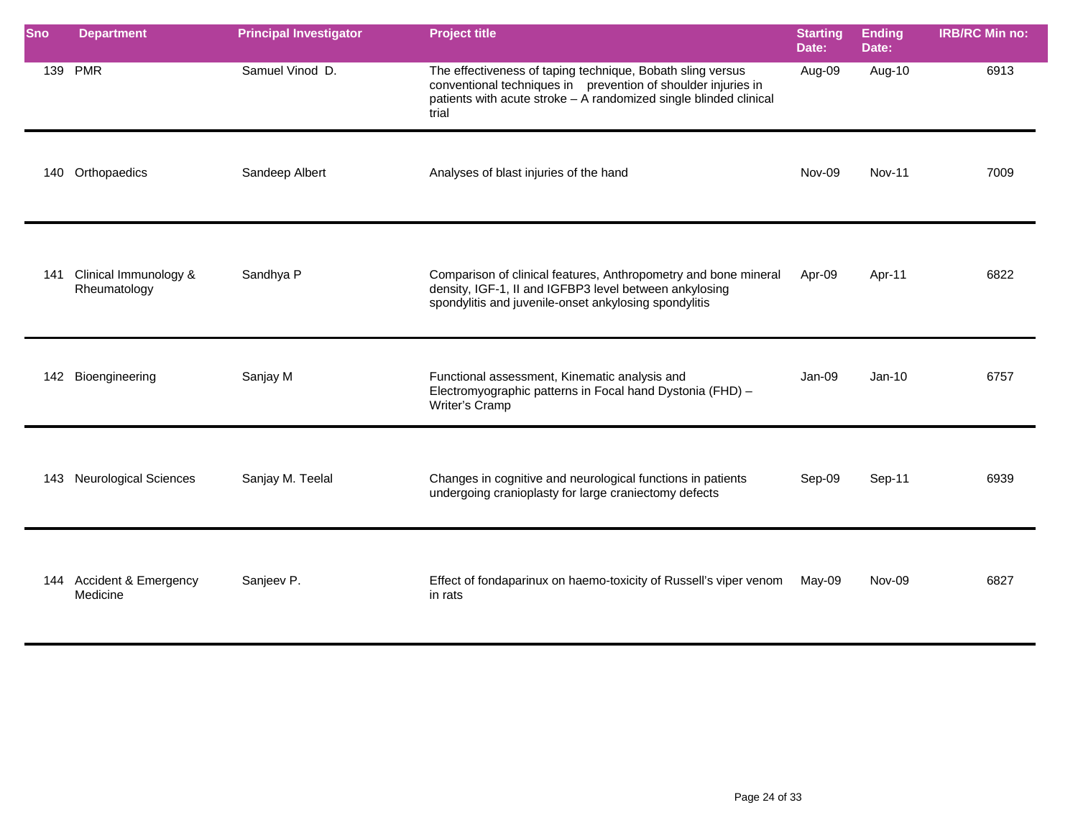| <b>Sno</b> | <b>Department</b>                           | <b>Principal Investigator</b> | <b>Project title</b>                                                                                                                                                                                      | <b>Starting</b><br>Date: | <b>Ending</b><br>Date: | <b>IRB/RC Min no:</b> |
|------------|---------------------------------------------|-------------------------------|-----------------------------------------------------------------------------------------------------------------------------------------------------------------------------------------------------------|--------------------------|------------------------|-----------------------|
|            | 139 PMR                                     | Samuel Vinod D.               | The effectiveness of taping technique, Bobath sling versus<br>conventional techniques in prevention of shoulder injuries in<br>patients with acute stroke - A randomized single blinded clinical<br>trial | Aug-09                   | Aug-10                 | 6913                  |
|            | 140 Orthopaedics                            | Sandeep Albert                | Analyses of blast injuries of the hand                                                                                                                                                                    | Nov-09                   | Nov-11                 | 7009                  |
| 141        | Clinical Immunology &<br>Rheumatology       | Sandhya P                     | Comparison of clinical features, Anthropometry and bone mineral<br>density, IGF-1, II and IGFBP3 level between ankylosing<br>spondylitis and juvenile-onset ankylosing spondylitis                        | Apr-09                   | Apr-11                 | 6822                  |
|            | 142 Bioengineering                          | Sanjay M                      | Functional assessment, Kinematic analysis and<br>Electromyographic patterns in Focal hand Dystonia (FHD) -<br>Writer's Cramp                                                                              | Jan-09                   | $Jan-10$               | 6757                  |
| 143        | <b>Neurological Sciences</b>                | Sanjay M. Teelal              | Changes in cognitive and neurological functions in patients<br>undergoing cranioplasty for large craniectomy defects                                                                                      | Sep-09                   | Sep-11                 | 6939                  |
| 144        | <b>Accident &amp; Emergency</b><br>Medicine | Sanjeev P.                    | Effect of fondaparinux on haemo-toxicity of Russell's viper venom<br>in rats                                                                                                                              | May-09                   | Nov-09                 | 6827                  |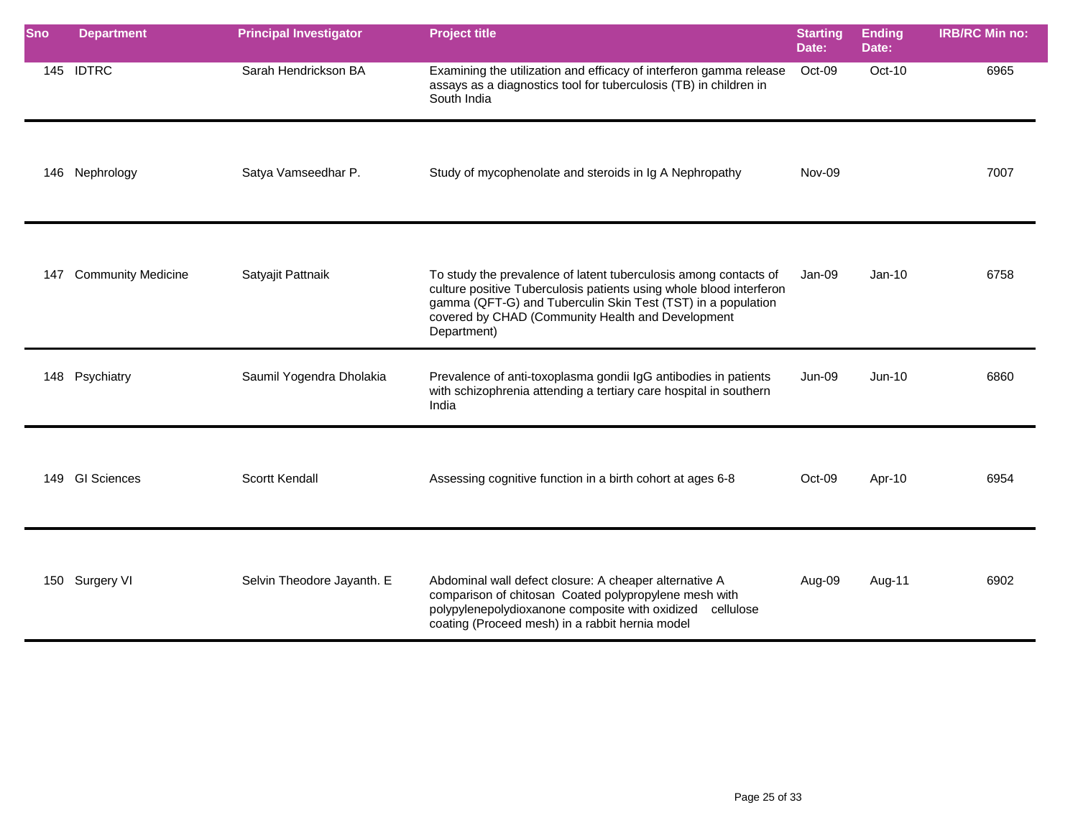| <b>Sno</b> | <b>Department</b>         | <b>Principal Investigator</b> | <b>Project title</b>                                                                                                                                                                                                                                                        | <b>Starting</b><br>Date: | <b>Ending</b><br>Date: | <b>IRB/RC Min no:</b> |
|------------|---------------------------|-------------------------------|-----------------------------------------------------------------------------------------------------------------------------------------------------------------------------------------------------------------------------------------------------------------------------|--------------------------|------------------------|-----------------------|
|            | 145 IDTRC                 | Sarah Hendrickson BA          | Examining the utilization and efficacy of interferon gamma release<br>assays as a diagnostics tool for tuberculosis (TB) in children in<br>South India                                                                                                                      | Oct-09                   | Oct-10                 | 6965                  |
|            | 146 Nephrology            | Satya Vamseedhar P.           | Study of mycophenolate and steroids in Ig A Nephropathy                                                                                                                                                                                                                     | Nov-09                   |                        | 7007                  |
| 147        | <b>Community Medicine</b> | Satyajit Pattnaik             | To study the prevalence of latent tuberculosis among contacts of<br>culture positive Tuberculosis patients using whole blood interferon<br>gamma (QFT-G) and Tuberculin Skin Test (TST) in a population<br>covered by CHAD (Community Health and Development<br>Department) | Jan-09                   | $Jan-10$               | 6758                  |
|            | 148 Psychiatry            | Saumil Yogendra Dholakia      | Prevalence of anti-toxoplasma gondii IgG antibodies in patients<br>with schizophrenia attending a tertiary care hospital in southern<br>India                                                                                                                               | <b>Jun-09</b>            | $Jun-10$               | 6860                  |
|            | 149 GI Sciences           | Scortt Kendall                | Assessing cognitive function in a birth cohort at ages 6-8                                                                                                                                                                                                                  | Oct-09                   | Apr-10                 | 6954                  |
|            | 150 Surgery VI            | Selvin Theodore Jayanth. E    | Abdominal wall defect closure: A cheaper alternative A<br>comparison of chitosan Coated polypropylene mesh with<br>polypylenepolydioxanone composite with oxidized cellulose<br>coating (Proceed mesh) in a rabbit hernia model                                             | Aug-09                   | Aug-11                 | 6902                  |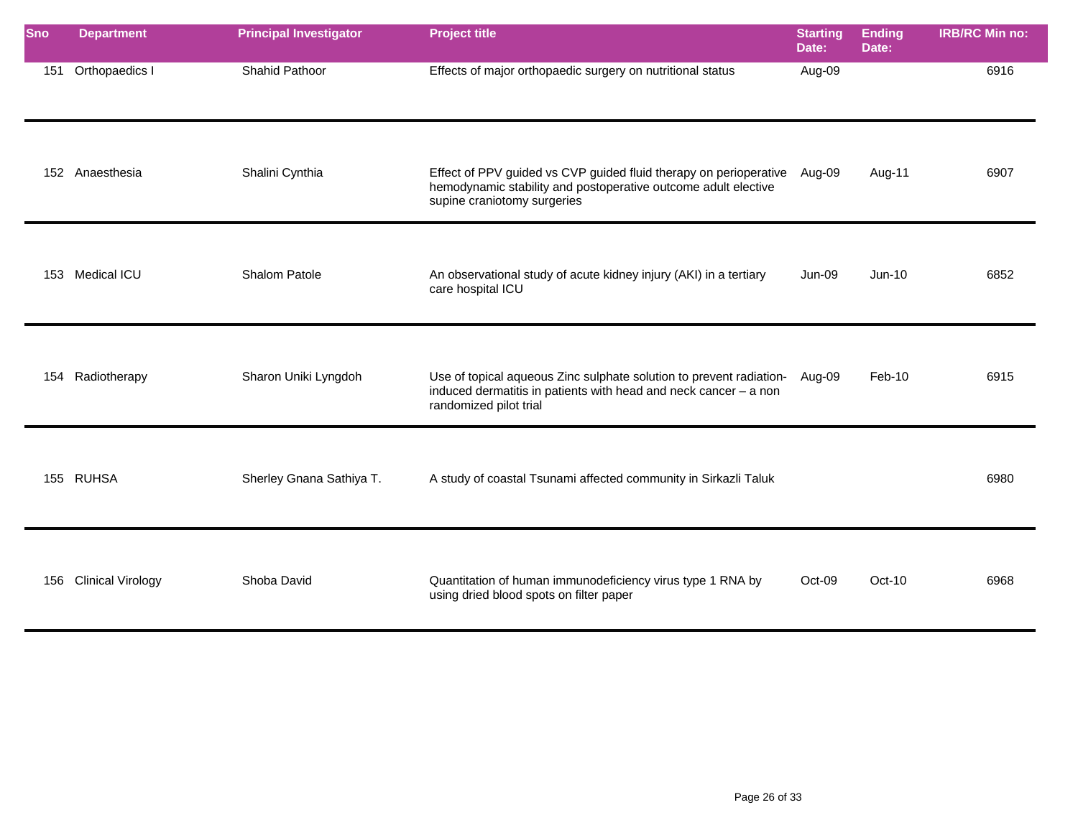| <b>Sno</b> | <b>Department</b>        | <b>Principal Investigator</b> | <b>Project title</b>                                                                                                                                               | <b>Starting</b><br>Date: | <b>Ending</b><br>Date: | <b>IRB/RC Min no:</b> |
|------------|--------------------------|-------------------------------|--------------------------------------------------------------------------------------------------------------------------------------------------------------------|--------------------------|------------------------|-----------------------|
| 151        | Orthopaedics I           | Shahid Pathoor                | Effects of major orthopaedic surgery on nutritional status                                                                                                         | Aug-09                   |                        | 6916                  |
|            | 152 Anaesthesia          | Shalini Cynthia               | Effect of PPV guided vs CVP guided fluid therapy on perioperative<br>hemodynamic stability and postoperative outcome adult elective<br>supine craniotomy surgeries | Aug-09                   | Aug-11                 | 6907                  |
|            | 153 Medical ICU          | Shalom Patole                 | An observational study of acute kidney injury (AKI) in a tertiary<br>care hospital ICU                                                                             | Jun-09                   | $Jun-10$               | 6852                  |
| 154        | Radiotherapy             | Sharon Uniki Lyngdoh          | Use of topical aqueous Zinc sulphate solution to prevent radiation-<br>induced dermatitis in patients with head and neck cancer - a non<br>randomized pilot trial  | Aug-09                   | Feb-10                 | 6915                  |
|            | 155 RUHSA                | Sherley Gnana Sathiya T.      | A study of coastal Tsunami affected community in Sirkazli Taluk                                                                                                    |                          |                        | 6980                  |
| 156        | <b>Clinical Virology</b> | Shoba David                   | Quantitation of human immunodeficiency virus type 1 RNA by<br>using dried blood spots on filter paper                                                              | Oct-09                   | $Oct-10$               | 6968                  |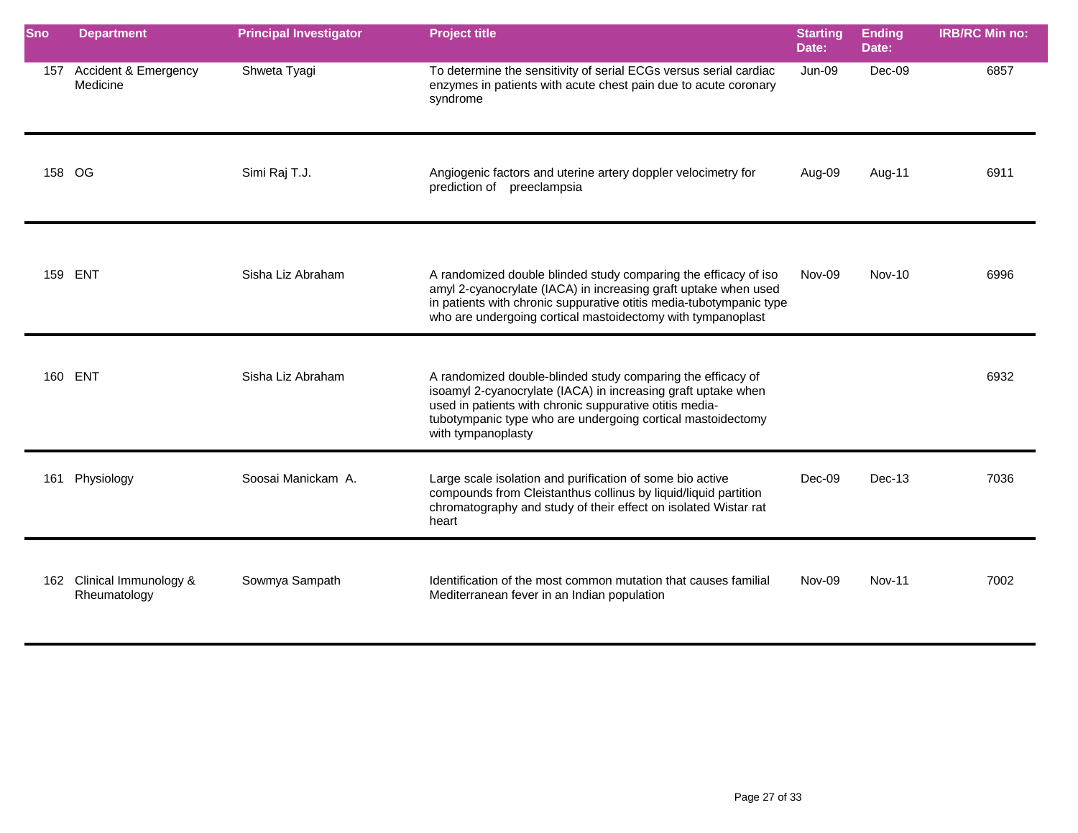| Sno    | <b>Department</b>                     | <b>Principal Investigator</b> | <b>Project title</b>                                                                                                                                                                                                                                                         | <b>Starting</b><br>Date: | <b>Ending</b><br>Date: | <b>IRB/RC Min no:</b> |
|--------|---------------------------------------|-------------------------------|------------------------------------------------------------------------------------------------------------------------------------------------------------------------------------------------------------------------------------------------------------------------------|--------------------------|------------------------|-----------------------|
| 157    | Accident & Emergency<br>Medicine      | Shweta Tyagi                  | To determine the sensitivity of serial ECGs versus serial cardiac<br>enzymes in patients with acute chest pain due to acute coronary<br>syndrome                                                                                                                             | Jun-09                   | Dec-09                 | 6857                  |
| 158 OG |                                       | Simi Raj T.J.                 | Angiogenic factors and uterine artery doppler velocimetry for<br>prediction of preeclampsia                                                                                                                                                                                  | Aug-09                   | Aug-11                 | 6911                  |
| 159    | ENT                                   | Sisha Liz Abraham             | A randomized double blinded study comparing the efficacy of iso<br>amyl 2-cyanocrylate (IACA) in increasing graft uptake when used<br>in patients with chronic suppurative otitis media-tubotympanic type<br>who are undergoing cortical mastoidectomy with tympanoplast     | Nov-09                   | <b>Nov-10</b>          | 6996                  |
|        | 160 ENT                               | Sisha Liz Abraham             | A randomized double-blinded study comparing the efficacy of<br>isoamyl 2-cyanocrylate (IACA) in increasing graft uptake when<br>used in patients with chronic suppurative otitis media-<br>tubotympanic type who are undergoing cortical mastoidectomy<br>with tympanoplasty |                          |                        | 6932                  |
| 161    | Physiology                            | Soosai Manickam A.            | Large scale isolation and purification of some bio active<br>compounds from Cleistanthus collinus by liquid/liquid partition<br>chromatography and study of their effect on isolated Wistar rat<br>heart                                                                     | Dec-09                   | Dec-13                 | 7036                  |
| 162    | Clinical Immunology &<br>Rheumatology | Sowmya Sampath                | Identification of the most common mutation that causes familial<br>Mediterranean fever in an Indian population                                                                                                                                                               | Nov-09                   | <b>Nov-11</b>          | 7002                  |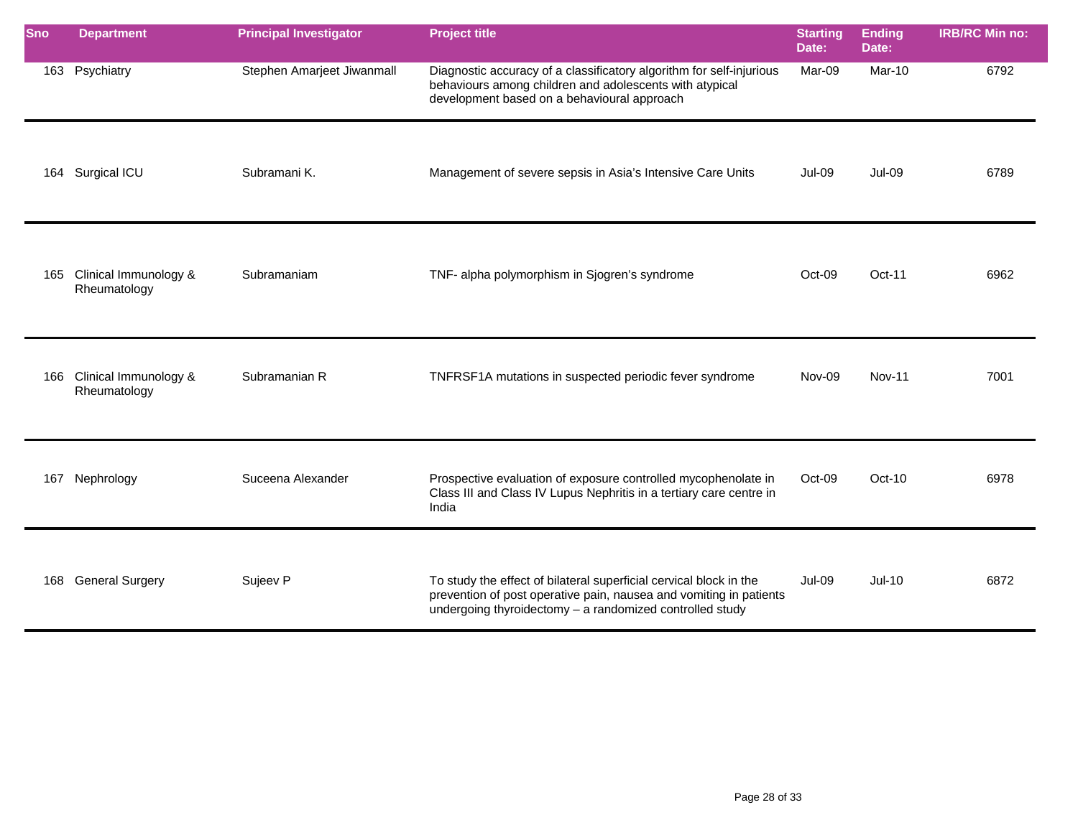| Sno | <b>Department</b>                         | <b>Principal Investigator</b> | <b>Project title</b>                                                                                                                                                                                 | <b>Starting</b><br>Date: | <b>Ending</b><br>Date: | <b>IRB/RC Min no:</b> |
|-----|-------------------------------------------|-------------------------------|------------------------------------------------------------------------------------------------------------------------------------------------------------------------------------------------------|--------------------------|------------------------|-----------------------|
|     | 163 Psychiatry                            | Stephen Amarjeet Jiwanmall    | Diagnostic accuracy of a classificatory algorithm for self-injurious<br>behaviours among children and adolescents with atypical<br>development based on a behavioural approach                       | Mar-09                   | <b>Mar-10</b>          | 6792                  |
|     | 164 Surgical ICU                          | Subramani K.                  | Management of severe sepsis in Asia's Intensive Care Units                                                                                                                                           | Jul-09                   | <b>Jul-09</b>          | 6789                  |
| 165 | Clinical Immunology &<br>Rheumatology     | Subramaniam                   | TNF- alpha polymorphism in Sjogren's syndrome                                                                                                                                                        | Oct-09                   | Oct-11                 | 6962                  |
|     | 166 Clinical Immunology &<br>Rheumatology | Subramanian R                 | TNFRSF1A mutations in suspected periodic fever syndrome                                                                                                                                              | Nov-09                   | <b>Nov-11</b>          | 7001                  |
| 167 | Nephrology                                | Suceena Alexander             | Prospective evaluation of exposure controlled mycophenolate in<br>Class III and Class IV Lupus Nephritis in a tertiary care centre in<br>India                                                       | Oct-09                   | $Oct-10$               | 6978                  |
| 168 | <b>General Surgery</b>                    | Sujeev P                      | To study the effect of bilateral superficial cervical block in the<br>prevention of post operative pain, nausea and vomiting in patients<br>undergoing thyroidectomy - a randomized controlled study | Jul-09                   | $Jul-10$               | 6872                  |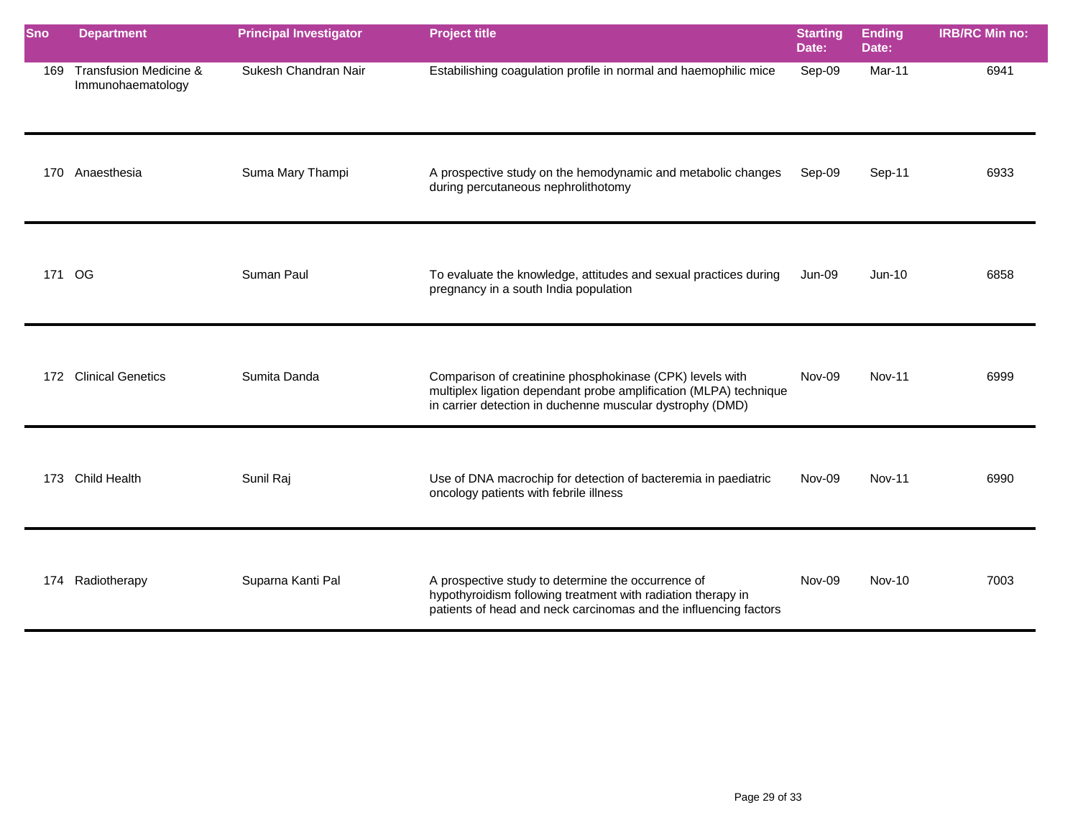| Sno    | <b>Department</b>                                      | <b>Principal Investigator</b> | <b>Project title</b>                                                                                                                                                                       | <b>Starting</b><br>Date: | <b>Ending</b><br>Date: | <b>IRB/RC Min no:</b> |
|--------|--------------------------------------------------------|-------------------------------|--------------------------------------------------------------------------------------------------------------------------------------------------------------------------------------------|--------------------------|------------------------|-----------------------|
| 169    | <b>Transfusion Medicine &amp;</b><br>Immunohaematology | Sukesh Chandran Nair          | Estabilishing coagulation profile in normal and haemophilic mice                                                                                                                           | Sep-09                   | Mar-11                 | 6941                  |
| 170    | Anaesthesia                                            | Suma Mary Thampi              | A prospective study on the hemodynamic and metabolic changes<br>during percutaneous nephrolithotomy                                                                                        | Sep-09                   | Sep-11                 | 6933                  |
| 171 OG |                                                        | Suman Paul                    | To evaluate the knowledge, attitudes and sexual practices during<br>pregnancy in a south India population                                                                                  | Jun-09                   | $Jun-10$               | 6858                  |
|        | 172 Clinical Genetics                                  | Sumita Danda                  | Comparison of creatinine phosphokinase (CPK) levels with<br>multiplex ligation dependant probe amplification (MLPA) technique<br>in carrier detection in duchenne muscular dystrophy (DMD) | Nov-09                   | <b>Nov-11</b>          | 6999                  |
| 173    | <b>Child Health</b>                                    | Sunil Raj                     | Use of DNA macrochip for detection of bacteremia in paediatric<br>oncology patients with febrile illness                                                                                   | Nov-09                   | <b>Nov-11</b>          | 6990                  |
|        | 174 Radiotherapy                                       | Suparna Kanti Pal             | A prospective study to determine the occurrence of<br>hypothyroidism following treatment with radiation therapy in<br>patients of head and neck carcinomas and the influencing factors     | Nov-09                   | <b>Nov-10</b>          | 7003                  |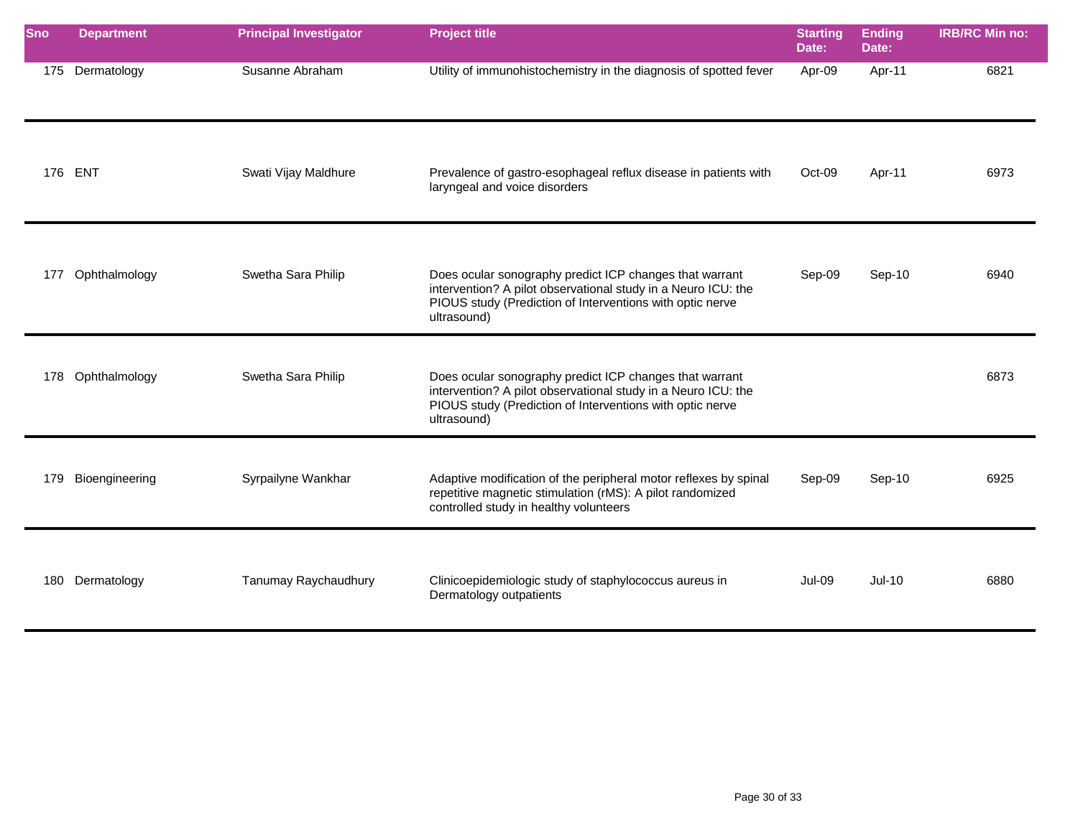| <b>Sno</b> | <b>Department</b> | <b>Principal Investigator</b> | <b>Project title</b>                                                                                                                                                                                 | <b>Starting</b><br>Date: | <b>Ending</b><br>Date: | <b>IRB/RC Min no:</b> |
|------------|-------------------|-------------------------------|------------------------------------------------------------------------------------------------------------------------------------------------------------------------------------------------------|--------------------------|------------------------|-----------------------|
|            | 175 Dermatology   | Susanne Abraham               | Utility of immunohistochemistry in the diagnosis of spotted fever                                                                                                                                    | Apr-09                   | Apr-11                 | 6821                  |
|            | 176 ENT           | Swati Vijay Maldhure          | Prevalence of gastro-esophageal reflux disease in patients with<br>laryngeal and voice disorders                                                                                                     | Oct-09                   | Apr-11                 | 6973                  |
| 177        | Ophthalmology     | Swetha Sara Philip            | Does ocular sonography predict ICP changes that warrant<br>intervention? A pilot observational study in a Neuro ICU: the<br>PIOUS study (Prediction of Interventions with optic nerve<br>ultrasound) | Sep-09                   | Sep-10                 | 6940                  |
| 178        | Ophthalmology     | Swetha Sara Philip            | Does ocular sonography predict ICP changes that warrant<br>intervention? A pilot observational study in a Neuro ICU: the<br>PIOUS study (Prediction of Interventions with optic nerve<br>ultrasound) |                          |                        | 6873                  |
| 179        | Bioengineering    | Syrpailyne Wankhar            | Adaptive modification of the peripheral motor reflexes by spinal<br>repetitive magnetic stimulation (rMS): A pilot randomized<br>controlled study in healthy volunteers                              | Sep-09                   | Sep-10                 | 6925                  |
|            | 180 Dermatology   | Tanumay Raychaudhury          | Clinicoepidemiologic study of staphylococcus aureus in<br>Dermatology outpatients                                                                                                                    | Jul-09                   | $Jul-10$               | 6880                  |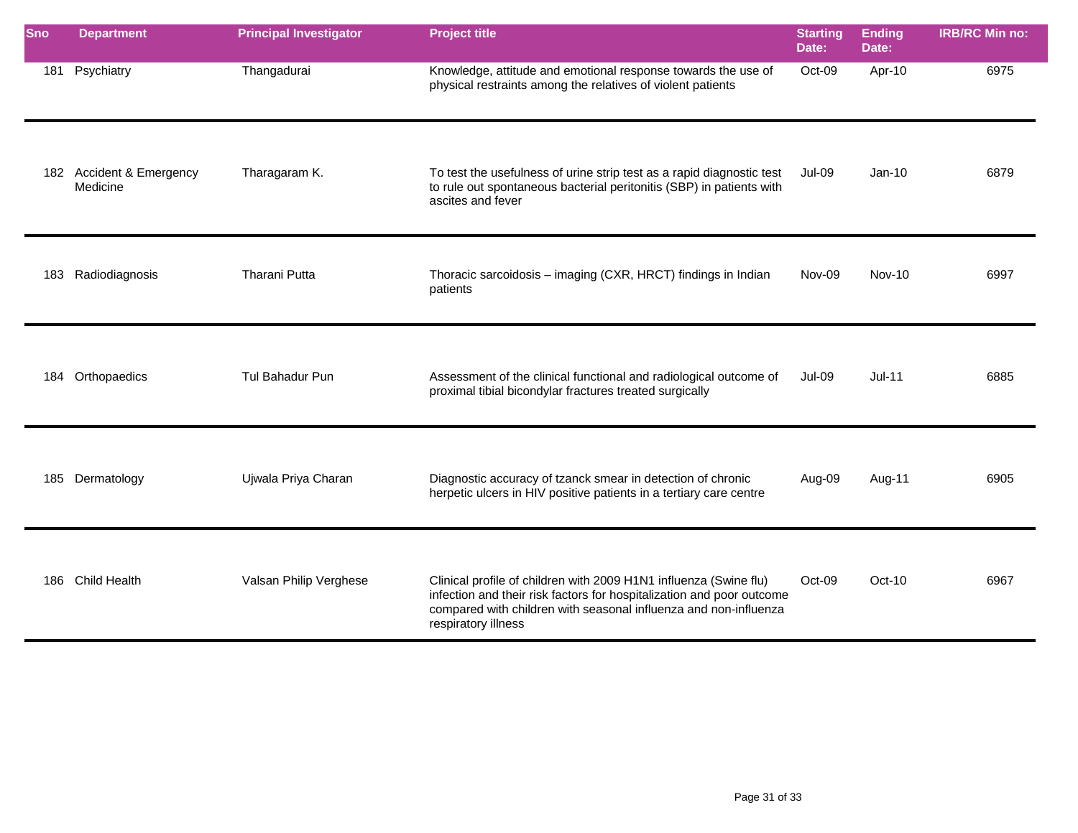| Sno | <b>Department</b>                    | <b>Principal Investigator</b> | <b>Project title</b>                                                                                                                                                                                                                  | <b>Starting</b><br>Date: | <b>Ending</b><br>Date: | <b>IRB/RC Min no:</b> |
|-----|--------------------------------------|-------------------------------|---------------------------------------------------------------------------------------------------------------------------------------------------------------------------------------------------------------------------------------|--------------------------|------------------------|-----------------------|
|     | 181 Psychiatry                       | Thangadurai                   | Knowledge, attitude and emotional response towards the use of<br>physical restraints among the relatives of violent patients                                                                                                          | Oct-09                   | Apr-10                 | 6975                  |
|     | 182 Accident & Emergency<br>Medicine | Tharagaram K.                 | To test the usefulness of urine strip test as a rapid diagnostic test<br>to rule out spontaneous bacterial peritonitis (SBP) in patients with<br>ascites and fever                                                                    | <b>Jul-09</b>            | $Jan-10$               | 6879                  |
|     | 183 Radiodiagnosis                   | Tharani Putta                 | Thoracic sarcoidosis - imaging (CXR, HRCT) findings in Indian<br>patients                                                                                                                                                             | Nov-09                   | $Nov-10$               | 6997                  |
|     | 184 Orthopaedics                     | Tul Bahadur Pun               | Assessment of the clinical functional and radiological outcome of<br>proximal tibial bicondylar fractures treated surgically                                                                                                          | <b>Jul-09</b>            | $Jul-11$               | 6885                  |
|     | 185 Dermatology                      | Ujwala Priya Charan           | Diagnostic accuracy of tzanck smear in detection of chronic<br>herpetic ulcers in HIV positive patients in a tertiary care centre                                                                                                     | Aug-09                   | Aug-11                 | 6905                  |
|     | 186 Child Health                     | Valsan Philip Verghese        | Clinical profile of children with 2009 H1N1 influenza (Swine flu)<br>infection and their risk factors for hospitalization and poor outcome<br>compared with children with seasonal influenza and non-influenza<br>respiratory illness | Oct-09                   | $Oct-10$               | 6967                  |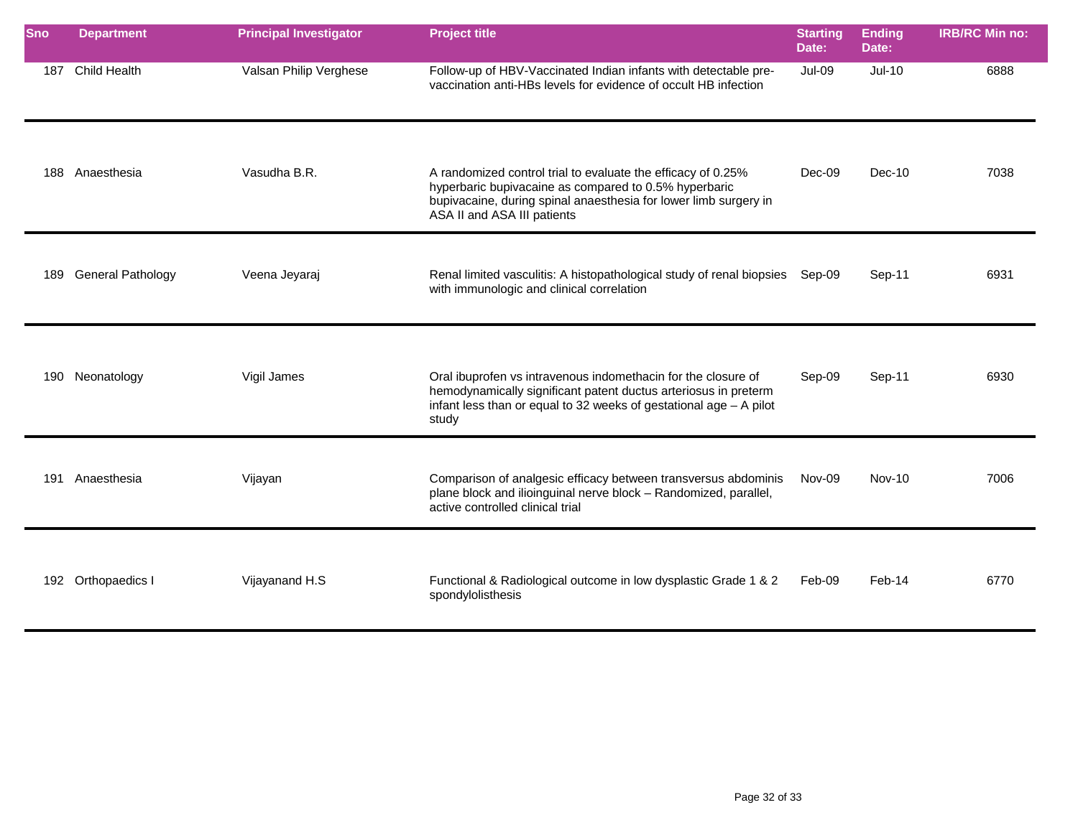| <b>Sno</b> | <b>Department</b>        | <b>Principal Investigator</b> | <b>Project title</b>                                                                                                                                                                                                     | <b>Starting</b><br>Date: | <b>Ending</b><br>Date: | <b>IRB/RC Min no:</b> |
|------------|--------------------------|-------------------------------|--------------------------------------------------------------------------------------------------------------------------------------------------------------------------------------------------------------------------|--------------------------|------------------------|-----------------------|
| 187        | <b>Child Health</b>      | Valsan Philip Verghese        | Follow-up of HBV-Vaccinated Indian infants with detectable pre-<br>vaccination anti-HBs levels for evidence of occult HB infection                                                                                       | Jul-09                   | $Jul-10$               | 6888                  |
| 188        | Anaesthesia              | Vasudha B.R.                  | A randomized control trial to evaluate the efficacy of 0.25%<br>hyperbaric bupivacaine as compared to 0.5% hyperbaric<br>bupivacaine, during spinal anaesthesia for lower limb surgery in<br>ASA II and ASA III patients | Dec-09                   | $Dec-10$               | 7038                  |
| 189        | <b>General Pathology</b> | Veena Jeyaraj                 | Renal limited vasculitis: A histopathological study of renal biopsies<br>with immunologic and clinical correlation                                                                                                       | Sep-09                   | Sep-11                 | 6931                  |
| 190        | Neonatology              | Vigil James                   | Oral ibuprofen vs intravenous indomethacin for the closure of<br>hemodynamically significant patent ductus arteriosus in preterm<br>infant less than or equal to 32 weeks of gestational age $-$ A pilot<br>study        | Sep-09                   | Sep-11                 | 6930                  |
| 191        | Anaesthesia              | Vijayan                       | Comparison of analgesic efficacy between transversus abdominis<br>plane block and ilioinguinal nerve block - Randomized, parallel,<br>active controlled clinical trial                                                   | Nov-09                   | <b>Nov-10</b>          | 7006                  |
|            | 192 Orthopaedics I       | Vijayanand H.S                | Functional & Radiological outcome in low dysplastic Grade 1 & 2<br>spondylolisthesis                                                                                                                                     | Feb-09                   | Feb-14                 | 6770                  |